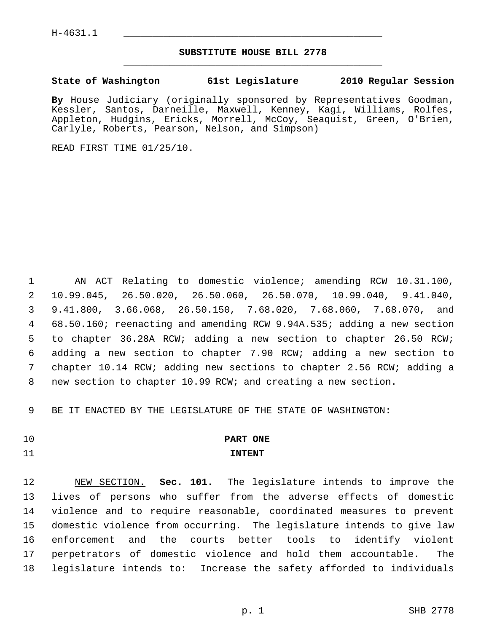## **SUBSTITUTE HOUSE BILL 2778** \_\_\_\_\_\_\_\_\_\_\_\_\_\_\_\_\_\_\_\_\_\_\_\_\_\_\_\_\_\_\_\_\_\_\_\_\_\_\_\_\_\_\_\_\_

## **State of Washington 61st Legislature 2010 Regular Session**

**By** House Judiciary (originally sponsored by Representatives Goodman, Kessler, Santos, Darneille, Maxwell, Kenney, Kagi, Williams, Rolfes, Appleton, Hudgins, Ericks, Morrell, McCoy, Seaquist, Green, O'Brien, Carlyle, Roberts, Pearson, Nelson, and Simpson)

READ FIRST TIME 01/25/10.

 1 AN ACT Relating to domestic violence; amending RCW 10.31.100, 2 10.99.045, 26.50.020, 26.50.060, 26.50.070, 10.99.040, 9.41.040, 3 9.41.800, 3.66.068, 26.50.150, 7.68.020, 7.68.060, 7.68.070, and 4 68.50.160; reenacting and amending RCW 9.94A.535; adding a new section 5 to chapter 36.28A RCW; adding a new section to chapter 26.50 RCW; 6 adding a new section to chapter 7.90 RCW; adding a new section to 7 chapter 10.14 RCW; adding new sections to chapter 2.56 RCW; adding a 8 new section to chapter 10.99 RCW; and creating a new section.

9 BE IT ENACTED BY THE LEGISLATURE OF THE STATE OF WASHINGTON:

# 10 **PART ONE**

## 11 **INTENT**

12 NEW SECTION. **Sec. 101.** The legislature intends to improve the 13 lives of persons who suffer from the adverse effects of domestic 14 violence and to require reasonable, coordinated measures to prevent 15 domestic violence from occurring. The legislature intends to give law 16 enforcement and the courts better tools to identify violent 17 perpetrators of domestic violence and hold them accountable. The 18 legislature intends to: Increase the safety afforded to individuals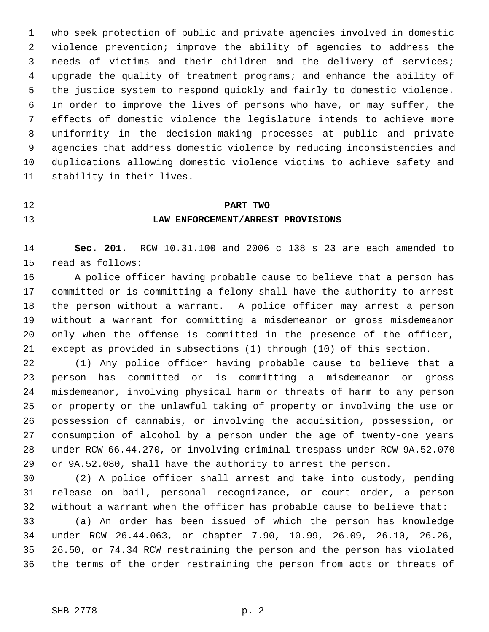1 who seek protection of public and private agencies involved in domestic 2 violence prevention; improve the ability of agencies to address the 3 needs of victims and their children and the delivery of services; 4 upgrade the quality of treatment programs; and enhance the ability of 5 the justice system to respond quickly and fairly to domestic violence. 6 In order to improve the lives of persons who have, or may suffer, the 7 effects of domestic violence the legislature intends to achieve more 8 uniformity in the decision-making processes at public and private 9 agencies that address domestic violence by reducing inconsistencies and 10 duplications allowing domestic violence victims to achieve safety and 11 stability in their lives.

## 12 **PART TWO**

## 13 **LAW ENFORCEMENT/ARREST PROVISIONS**

14 **Sec. 201.** RCW 10.31.100 and 2006 c 138 s 23 are each amended to 15 read as follows:

16 A police officer having probable cause to believe that a person has 17 committed or is committing a felony shall have the authority to arrest 18 the person without a warrant. A police officer may arrest a person 19 without a warrant for committing a misdemeanor or gross misdemeanor 20 only when the offense is committed in the presence of the officer, 21 except as provided in subsections (1) through (10) of this section.

22 (1) Any police officer having probable cause to believe that a 23 person has committed or is committing a misdemeanor or gross 24 misdemeanor, involving physical harm or threats of harm to any person 25 or property or the unlawful taking of property or involving the use or 26 possession of cannabis, or involving the acquisition, possession, or 27 consumption of alcohol by a person under the age of twenty-one years 28 under RCW 66.44.270, or involving criminal trespass under RCW 9A.52.070 29 or 9A.52.080, shall have the authority to arrest the person.

30 (2) A police officer shall arrest and take into custody, pending 31 release on bail, personal recognizance, or court order, a person 32 without a warrant when the officer has probable cause to believe that:

33 (a) An order has been issued of which the person has knowledge 34 under RCW 26.44.063, or chapter 7.90, 10.99, 26.09, 26.10, 26.26, 35 26.50, or 74.34 RCW restraining the person and the person has violated 36 the terms of the order restraining the person from acts or threats of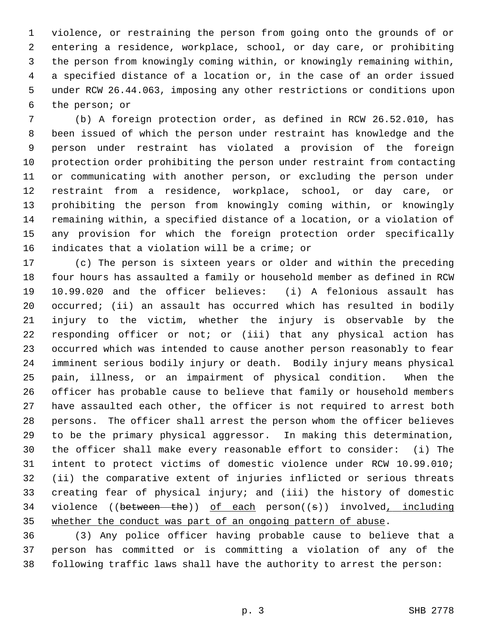1 violence, or restraining the person from going onto the grounds of or 2 entering a residence, workplace, school, or day care, or prohibiting 3 the person from knowingly coming within, or knowingly remaining within, 4 a specified distance of a location or, in the case of an order issued 5 under RCW 26.44.063, imposing any other restrictions or conditions upon 6 the person; or

 7 (b) A foreign protection order, as defined in RCW 26.52.010, has 8 been issued of which the person under restraint has knowledge and the 9 person under restraint has violated a provision of the foreign 10 protection order prohibiting the person under restraint from contacting 11 or communicating with another person, or excluding the person under 12 restraint from a residence, workplace, school, or day care, or 13 prohibiting the person from knowingly coming within, or knowingly 14 remaining within, a specified distance of a location, or a violation of 15 any provision for which the foreign protection order specifically 16 indicates that a violation will be a crime; or

17 (c) The person is sixteen years or older and within the preceding 18 four hours has assaulted a family or household member as defined in RCW 19 10.99.020 and the officer believes: (i) A felonious assault has 20 occurred; (ii) an assault has occurred which has resulted in bodily 21 injury to the victim, whether the injury is observable by the 22 responding officer or not; or (iii) that any physical action has 23 occurred which was intended to cause another person reasonably to fear 24 imminent serious bodily injury or death. Bodily injury means physical 25 pain, illness, or an impairment of physical condition. When the 26 officer has probable cause to believe that family or household members 27 have assaulted each other, the officer is not required to arrest both 28 persons. The officer shall arrest the person whom the officer believes 29 to be the primary physical aggressor. In making this determination, 30 the officer shall make every reasonable effort to consider: (i) The 31 intent to protect victims of domestic violence under RCW 10.99.010; 32 (ii) the comparative extent of injuries inflicted or serious threats 33 creating fear of physical injury; and (iii) the history of domestic 34 violence ((between the)) of each person((s)) involved, including 35 whether the conduct was part of an ongoing pattern of abuse.

36 (3) Any police officer having probable cause to believe that a 37 person has committed or is committing a violation of any of the 38 following traffic laws shall have the authority to arrest the person: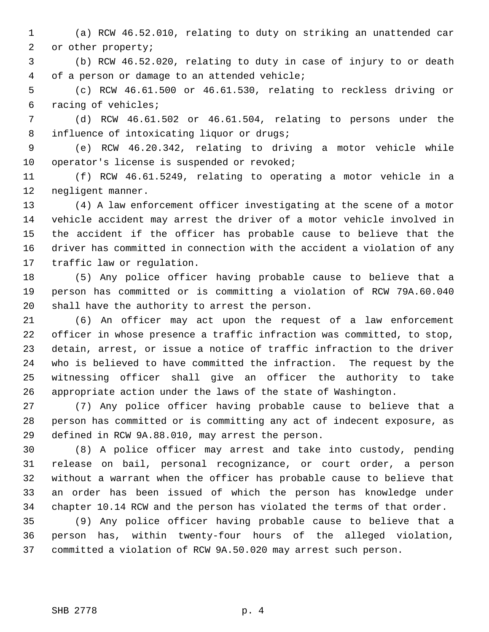1 (a) RCW 46.52.010, relating to duty on striking an unattended car 2 or other property;

 3 (b) RCW 46.52.020, relating to duty in case of injury to or death 4 of a person or damage to an attended vehicle;

 5 (c) RCW 46.61.500 or 46.61.530, relating to reckless driving or 6 racing of vehicles;

 7 (d) RCW 46.61.502 or 46.61.504, relating to persons under the 8 influence of intoxicating liquor or drugs;

 9 (e) RCW 46.20.342, relating to driving a motor vehicle while 10 operator's license is suspended or revoked;

11 (f) RCW 46.61.5249, relating to operating a motor vehicle in a 12 negligent manner.

13 (4) A law enforcement officer investigating at the scene of a motor 14 vehicle accident may arrest the driver of a motor vehicle involved in 15 the accident if the officer has probable cause to believe that the 16 driver has committed in connection with the accident a violation of any 17 traffic law or regulation.

18 (5) Any police officer having probable cause to believe that a 19 person has committed or is committing a violation of RCW 79A.60.040 20 shall have the authority to arrest the person.

21 (6) An officer may act upon the request of a law enforcement 22 officer in whose presence a traffic infraction was committed, to stop, 23 detain, arrest, or issue a notice of traffic infraction to the driver 24 who is believed to have committed the infraction. The request by the 25 witnessing officer shall give an officer the authority to take 26 appropriate action under the laws of the state of Washington.

27 (7) Any police officer having probable cause to believe that a 28 person has committed or is committing any act of indecent exposure, as 29 defined in RCW 9A.88.010, may arrest the person.

30 (8) A police officer may arrest and take into custody, pending 31 release on bail, personal recognizance, or court order, a person 32 without a warrant when the officer has probable cause to believe that 33 an order has been issued of which the person has knowledge under 34 chapter 10.14 RCW and the person has violated the terms of that order.

35 (9) Any police officer having probable cause to believe that a 36 person has, within twenty-four hours of the alleged violation, 37 committed a violation of RCW 9A.50.020 may arrest such person.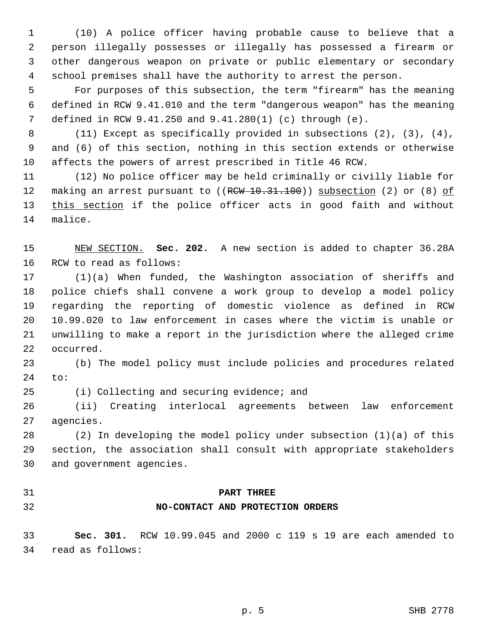1 (10) A police officer having probable cause to believe that a 2 person illegally possesses or illegally has possessed a firearm or 3 other dangerous weapon on private or public elementary or secondary 4 school premises shall have the authority to arrest the person.

 5 For purposes of this subsection, the term "firearm" has the meaning 6 defined in RCW 9.41.010 and the term "dangerous weapon" has the meaning 7 defined in RCW 9.41.250 and 9.41.280(1) (c) through (e).

 8 (11) Except as specifically provided in subsections (2), (3), (4), 9 and (6) of this section, nothing in this section extends or otherwise 10 affects the powers of arrest prescribed in Title 46 RCW.

11 (12) No police officer may be held criminally or civilly liable for 12 making an arrest pursuant to ((RCW 10.31.100)) subsection (2) or (8) of 13 this section if the police officer acts in good faith and without 14 malice.

15 NEW SECTION. **Sec. 202.** A new section is added to chapter 36.28A 16 RCW to read as follows:

17 (1)(a) When funded, the Washington association of sheriffs and 18 police chiefs shall convene a work group to develop a model policy 19 regarding the reporting of domestic violence as defined in RCW 20 10.99.020 to law enforcement in cases where the victim is unable or 21 unwilling to make a report in the jurisdiction where the alleged crime 22 occurred.

23 (b) The model policy must include policies and procedures related 24 to:

25 (i) Collecting and securing evidence; and

26 (ii) Creating interlocal agreements between law enforcement 27 agencies.

28 (2) In developing the model policy under subsection (1)(a) of this 29 section, the association shall consult with appropriate stakeholders 30 and government agencies.

## 31 **PART THREE**

## 32 **NO-CONTACT AND PROTECTION ORDERS**

33 **Sec. 301.** RCW 10.99.045 and 2000 c 119 s 19 are each amended to 34 read as follows: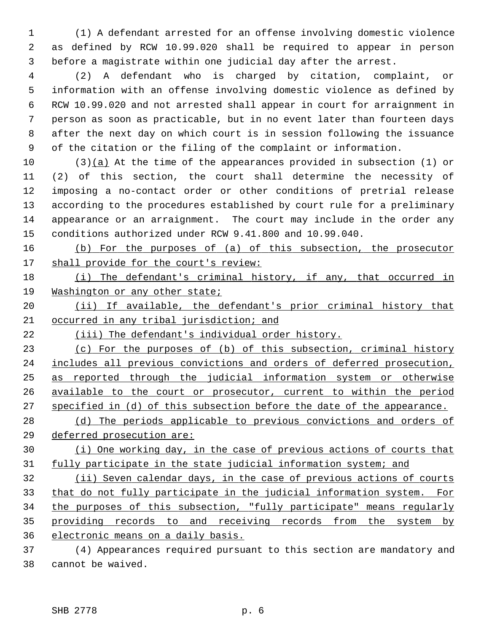1 (1) A defendant arrested for an offense involving domestic violence 2 as defined by RCW 10.99.020 shall be required to appear in person 3 before a magistrate within one judicial day after the arrest.

 4 (2) A defendant who is charged by citation, complaint, or 5 information with an offense involving domestic violence as defined by 6 RCW 10.99.020 and not arrested shall appear in court for arraignment in 7 person as soon as practicable, but in no event later than fourteen days 8 after the next day on which court is in session following the issuance 9 of the citation or the filing of the complaint or information.

10 (3)(a) At the time of the appearances provided in subsection (1) or 11 (2) of this section, the court shall determine the necessity of 12 imposing a no-contact order or other conditions of pretrial release 13 according to the procedures established by court rule for a preliminary 14 appearance or an arraignment. The court may include in the order any 15 conditions authorized under RCW 9.41.800 and 10.99.040.

16 (b) For the purposes of (a) of this subsection, the prosecutor 17 shall provide for the court's review:

18 (i) The defendant's criminal history, if any, that occurred in 19 Washington or any other state;

20 (ii) If available, the defendant's prior criminal history that 21 occurred in any tribal jurisdiction; and

22 (iii) The defendant's individual order history.

 (c) For the purposes of (b) of this subsection, criminal history includes all previous convictions and orders of deferred prosecution, as reported through the judicial information system or otherwise available to the court or prosecutor, current to within the period specified in (d) of this subsection before the date of the appearance.

28 (d) The periods applicable to previous convictions and orders of 29 deferred prosecution are:

30 (i) One working day, in the case of previous actions of courts that 31 fully participate in the state judicial information system; and

 (ii) Seven calendar days, in the case of previous actions of courts that do not fully participate in the judicial information system. For the purposes of this subsection, "fully participate" means regularly providing records to and receiving records from the system by electronic means on a daily basis.

37 (4) Appearances required pursuant to this section are mandatory and 38 cannot be waived.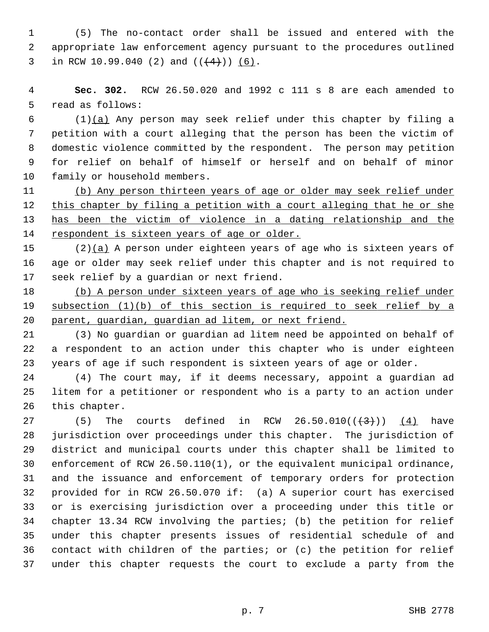1 (5) The no-contact order shall be issued and entered with the 2 appropriate law enforcement agency pursuant to the procedures outlined 3 in RCW 10.99.040 (2) and  $((+4))$  (6).

 4 **Sec. 302.** RCW 26.50.020 and 1992 c 111 s 8 are each amended to 5 read as follows:

 6 (1)(a) Any person may seek relief under this chapter by filing a 7 petition with a court alleging that the person has been the victim of 8 domestic violence committed by the respondent. The person may petition 9 for relief on behalf of himself or herself and on behalf of minor 10 family or household members.

 (b) Any person thirteen years of age or older may seek relief under 12 this chapter by filing a petition with a court alleging that he or she has been the victim of violence in a dating relationship and the respondent is sixteen years of age or older.

15 (2)(a) A person under eighteen years of age who is sixteen years of 16 age or older may seek relief under this chapter and is not required to 17 seek relief by a guardian or next friend.

18 (b) A person under sixteen years of age who is seeking relief under 19 subsection (1)(b) of this section is required to seek relief by a 20 parent, guardian, guardian ad litem, or next friend.

21 (3) No guardian or guardian ad litem need be appointed on behalf of 22 a respondent to an action under this chapter who is under eighteen 23 years of age if such respondent is sixteen years of age or older.

24 (4) The court may, if it deems necessary, appoint a guardian ad 25 litem for a petitioner or respondent who is a party to an action under 26 this chapter.

27 (5) The courts defined in RCW  $26.50.010((\frac{43}{1}))$  (4) have 28 jurisdiction over proceedings under this chapter. The jurisdiction of 29 district and municipal courts under this chapter shall be limited to 30 enforcement of RCW 26.50.110(1), or the equivalent municipal ordinance, 31 and the issuance and enforcement of temporary orders for protection 32 provided for in RCW 26.50.070 if: (a) A superior court has exercised 33 or is exercising jurisdiction over a proceeding under this title or 34 chapter 13.34 RCW involving the parties; (b) the petition for relief 35 under this chapter presents issues of residential schedule of and 36 contact with children of the parties; or (c) the petition for relief 37 under this chapter requests the court to exclude a party from the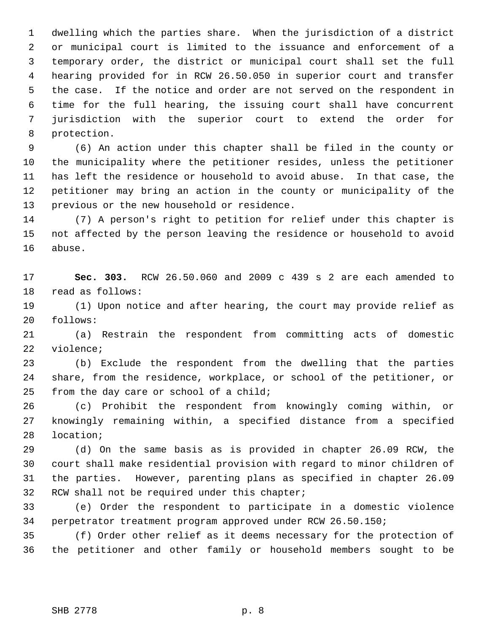1 dwelling which the parties share. When the jurisdiction of a district 2 or municipal court is limited to the issuance and enforcement of a 3 temporary order, the district or municipal court shall set the full 4 hearing provided for in RCW 26.50.050 in superior court and transfer 5 the case. If the notice and order are not served on the respondent in 6 time for the full hearing, the issuing court shall have concurrent 7 jurisdiction with the superior court to extend the order for 8 protection.

 9 (6) An action under this chapter shall be filed in the county or 10 the municipality where the petitioner resides, unless the petitioner 11 has left the residence or household to avoid abuse. In that case, the 12 petitioner may bring an action in the county or municipality of the 13 previous or the new household or residence.

14 (7) A person's right to petition for relief under this chapter is 15 not affected by the person leaving the residence or household to avoid 16 abuse.

17 **Sec. 303.** RCW 26.50.060 and 2009 c 439 s 2 are each amended to 18 read as follows:

19 (1) Upon notice and after hearing, the court may provide relief as 20 follows:

21 (a) Restrain the respondent from committing acts of domestic 22 violence;

23 (b) Exclude the respondent from the dwelling that the parties 24 share, from the residence, workplace, or school of the petitioner, or 25 from the day care or school of a child;

26 (c) Prohibit the respondent from knowingly coming within, or 27 knowingly remaining within, a specified distance from a specified 28 location;

29 (d) On the same basis as is provided in chapter 26.09 RCW, the 30 court shall make residential provision with regard to minor children of 31 the parties. However, parenting plans as specified in chapter 26.09 32 RCW shall not be required under this chapter;

33 (e) Order the respondent to participate in a domestic violence 34 perpetrator treatment program approved under RCW 26.50.150;

35 (f) Order other relief as it deems necessary for the protection of 36 the petitioner and other family or household members sought to be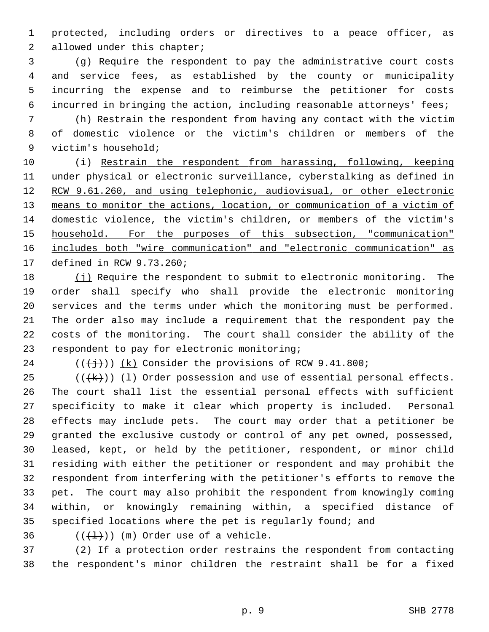1 protected, including orders or directives to a peace officer, as 2 allowed under this chapter;

 3 (g) Require the respondent to pay the administrative court costs 4 and service fees, as established by the county or municipality 5 incurring the expense and to reimburse the petitioner for costs 6 incurred in bringing the action, including reasonable attorneys' fees;

 7 (h) Restrain the respondent from having any contact with the victim 8 of domestic violence or the victim's children or members of the 9 victim's household;

10 (i) Restrain the respondent from harassing, following, keeping under physical or electronic surveillance, cyberstalking as defined in RCW 9.61.260, and using telephonic, audiovisual, or other electronic 13 means to monitor the actions, location, or communication of a victim of domestic violence, the victim's children, or members of the victim's household. For the purposes of this subsection, "communication" includes both "wire communication" and "electronic communication" as defined in RCW 9.73.260;

18 (j) Require the respondent to submit to electronic monitoring. The 19 order shall specify who shall provide the electronic monitoring 20 services and the terms under which the monitoring must be performed. 21 The order also may include a requirement that the respondent pay the 22 costs of the monitoring. The court shall consider the ability of the 23 respondent to pay for electronic monitoring;

24  $((\n{+}\n{+}))(k)$  Consider the provisions of RCW 9.41.800;

 $25$  (( $\frac{1}{k})$ ) (1) Order possession and use of essential personal effects. 26 The court shall list the essential personal effects with sufficient 27 specificity to make it clear which property is included. Personal 28 effects may include pets. The court may order that a petitioner be 29 granted the exclusive custody or control of any pet owned, possessed, 30 leased, kept, or held by the petitioner, respondent, or minor child 31 residing with either the petitioner or respondent and may prohibit the 32 respondent from interfering with the petitioner's efforts to remove the 33 pet. The court may also prohibit the respondent from knowingly coming 34 within, or knowingly remaining within, a specified distance of 35 specified locations where the pet is regularly found; and

36  $((+1))$  (m) Order use of a vehicle.

37 (2) If a protection order restrains the respondent from contacting 38 the respondent's minor children the restraint shall be for a fixed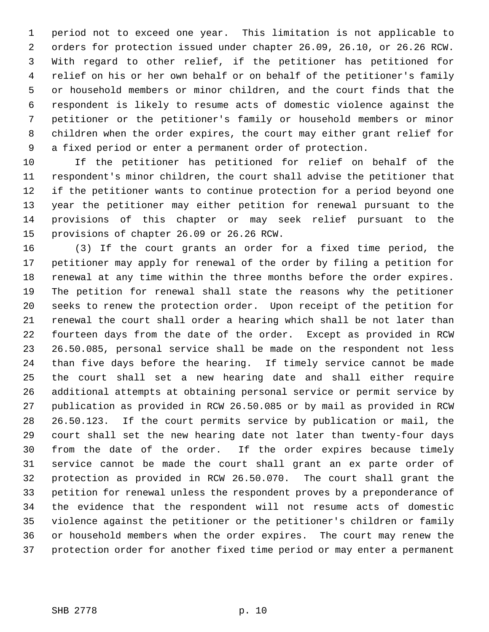1 period not to exceed one year. This limitation is not applicable to 2 orders for protection issued under chapter 26.09, 26.10, or 26.26 RCW. 3 With regard to other relief, if the petitioner has petitioned for 4 relief on his or her own behalf or on behalf of the petitioner's family 5 or household members or minor children, and the court finds that the 6 respondent is likely to resume acts of domestic violence against the 7 petitioner or the petitioner's family or household members or minor 8 children when the order expires, the court may either grant relief for 9 a fixed period or enter a permanent order of protection.

10 If the petitioner has petitioned for relief on behalf of the 11 respondent's minor children, the court shall advise the petitioner that 12 if the petitioner wants to continue protection for a period beyond one 13 year the petitioner may either petition for renewal pursuant to the 14 provisions of this chapter or may seek relief pursuant to the 15 provisions of chapter 26.09 or 26.26 RCW.

16 (3) If the court grants an order for a fixed time period, the 17 petitioner may apply for renewal of the order by filing a petition for 18 renewal at any time within the three months before the order expires. 19 The petition for renewal shall state the reasons why the petitioner 20 seeks to renew the protection order. Upon receipt of the petition for 21 renewal the court shall order a hearing which shall be not later than 22 fourteen days from the date of the order. Except as provided in RCW 23 26.50.085, personal service shall be made on the respondent not less 24 than five days before the hearing. If timely service cannot be made 25 the court shall set a new hearing date and shall either require 26 additional attempts at obtaining personal service or permit service by 27 publication as provided in RCW 26.50.085 or by mail as provided in RCW 28 26.50.123. If the court permits service by publication or mail, the 29 court shall set the new hearing date not later than twenty-four days 30 from the date of the order. If the order expires because timely 31 service cannot be made the court shall grant an ex parte order of 32 protection as provided in RCW 26.50.070. The court shall grant the 33 petition for renewal unless the respondent proves by a preponderance of 34 the evidence that the respondent will not resume acts of domestic 35 violence against the petitioner or the petitioner's children or family 36 or household members when the order expires. The court may renew the 37 protection order for another fixed time period or may enter a permanent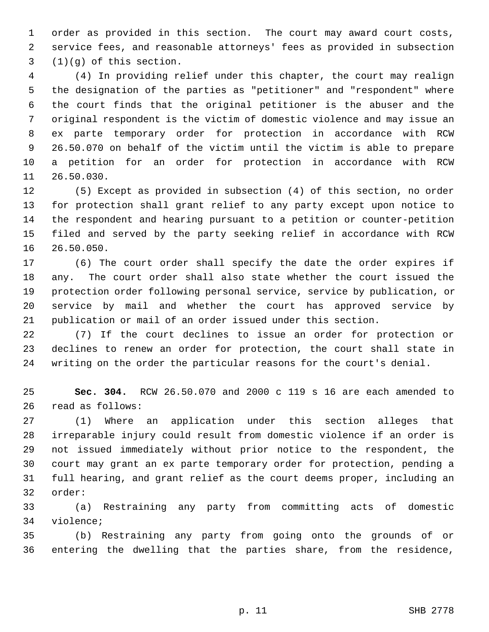1 order as provided in this section. The court may award court costs, 2 service fees, and reasonable attorneys' fees as provided in subsection 3 (1)(g) of this section.

 4 (4) In providing relief under this chapter, the court may realign 5 the designation of the parties as "petitioner" and "respondent" where 6 the court finds that the original petitioner is the abuser and the 7 original respondent is the victim of domestic violence and may issue an 8 ex parte temporary order for protection in accordance with RCW 9 26.50.070 on behalf of the victim until the victim is able to prepare 10 a petition for an order for protection in accordance with RCW 11 26.50.030.

12 (5) Except as provided in subsection (4) of this section, no order 13 for protection shall grant relief to any party except upon notice to 14 the respondent and hearing pursuant to a petition or counter-petition 15 filed and served by the party seeking relief in accordance with RCW 16 26.50.050.

17 (6) The court order shall specify the date the order expires if 18 any. The court order shall also state whether the court issued the 19 protection order following personal service, service by publication, or 20 service by mail and whether the court has approved service by 21 publication or mail of an order issued under this section.

22 (7) If the court declines to issue an order for protection or 23 declines to renew an order for protection, the court shall state in 24 writing on the order the particular reasons for the court's denial.

25 **Sec. 304.** RCW 26.50.070 and 2000 c 119 s 16 are each amended to 26 read as follows:

27 (1) Where an application under this section alleges that 28 irreparable injury could result from domestic violence if an order is 29 not issued immediately without prior notice to the respondent, the 30 court may grant an ex parte temporary order for protection, pending a 31 full hearing, and grant relief as the court deems proper, including an 32 order:

33 (a) Restraining any party from committing acts of domestic 34 violence;

35 (b) Restraining any party from going onto the grounds of or 36 entering the dwelling that the parties share, from the residence,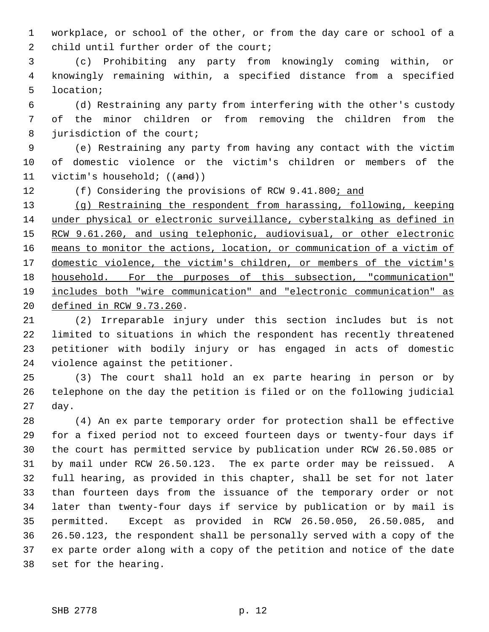1 workplace, or school of the other, or from the day care or school of a 2 child until further order of the court;

 3 (c) Prohibiting any party from knowingly coming within, or 4 knowingly remaining within, a specified distance from a specified 5 location;

 6 (d) Restraining any party from interfering with the other's custody 7 of the minor children or from removing the children from the 8 jurisdiction of the court;

 9 (e) Restraining any party from having any contact with the victim 10 of domestic violence or the victim's children or members of the 11 victim's household;  $((and))$ 

12 (f) Considering the provisions of RCW 9.41.800; and

 (g) Restraining the respondent from harassing, following, keeping under physical or electronic surveillance, cyberstalking as defined in RCW 9.61.260, and using telephonic, audiovisual, or other electronic means to monitor the actions, location, or communication of a victim of domestic violence, the victim's children, or members of the victim's household. For the purposes of this subsection, "communication" includes both "wire communication" and "electronic communication" as defined in RCW 9.73.260.

21 (2) Irreparable injury under this section includes but is not 22 limited to situations in which the respondent has recently threatened 23 petitioner with bodily injury or has engaged in acts of domestic 24 violence against the petitioner.

25 (3) The court shall hold an ex parte hearing in person or by 26 telephone on the day the petition is filed or on the following judicial 27 day.

28 (4) An ex parte temporary order for protection shall be effective 29 for a fixed period not to exceed fourteen days or twenty-four days if 30 the court has permitted service by publication under RCW 26.50.085 or 31 by mail under RCW 26.50.123. The ex parte order may be reissued. A 32 full hearing, as provided in this chapter, shall be set for not later 33 than fourteen days from the issuance of the temporary order or not 34 later than twenty-four days if service by publication or by mail is 35 permitted. Except as provided in RCW 26.50.050, 26.50.085, and 36 26.50.123, the respondent shall be personally served with a copy of the 37 ex parte order along with a copy of the petition and notice of the date 38 set for the hearing.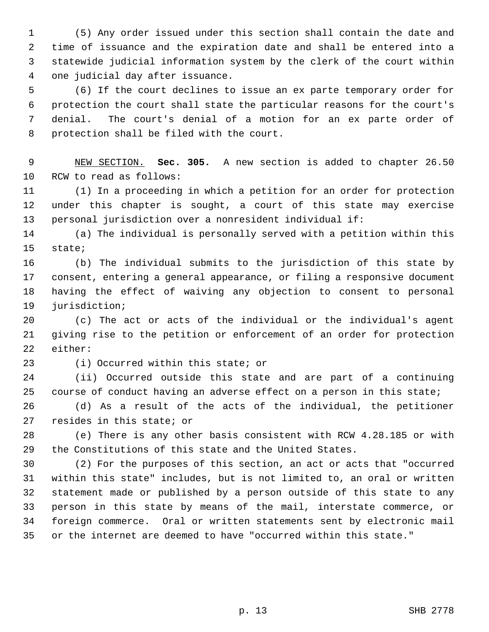1 (5) Any order issued under this section shall contain the date and 2 time of issuance and the expiration date and shall be entered into a 3 statewide judicial information system by the clerk of the court within 4 one judicial day after issuance.

 5 (6) If the court declines to issue an ex parte temporary order for 6 protection the court shall state the particular reasons for the court's 7 denial. The court's denial of a motion for an ex parte order of 8 protection shall be filed with the court.

 9 NEW SECTION. **Sec. 305.** A new section is added to chapter 26.50 10 RCW to read as follows:

11 (1) In a proceeding in which a petition for an order for protection 12 under this chapter is sought, a court of this state may exercise 13 personal jurisdiction over a nonresident individual if:

14 (a) The individual is personally served with a petition within this 15 state;

16 (b) The individual submits to the jurisdiction of this state by 17 consent, entering a general appearance, or filing a responsive document 18 having the effect of waiving any objection to consent to personal 19 jurisdiction;

20 (c) The act or acts of the individual or the individual's agent 21 giving rise to the petition or enforcement of an order for protection 22 either:

23 (i) Occurred within this state; or

24 (ii) Occurred outside this state and are part of a continuing 25 course of conduct having an adverse effect on a person in this state;

26 (d) As a result of the acts of the individual, the petitioner 27 resides in this state; or

28 (e) There is any other basis consistent with RCW 4.28.185 or with 29 the Constitutions of this state and the United States.

30 (2) For the purposes of this section, an act or acts that "occurred 31 within this state" includes, but is not limited to, an oral or written 32 statement made or published by a person outside of this state to any 33 person in this state by means of the mail, interstate commerce, or 34 foreign commerce. Oral or written statements sent by electronic mail 35 or the internet are deemed to have "occurred within this state."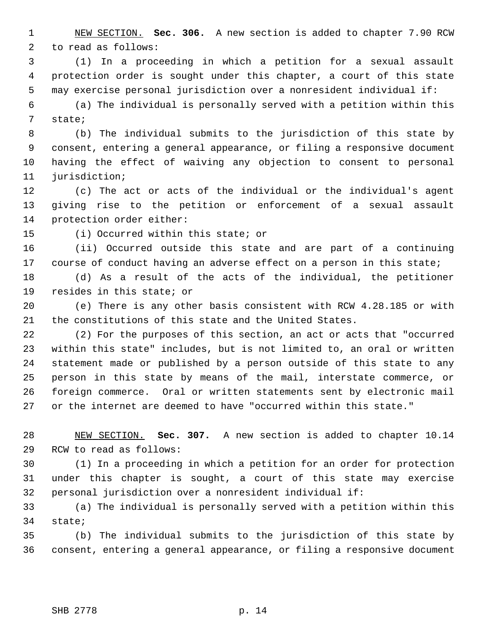1 NEW SECTION. **Sec. 306.** A new section is added to chapter 7.90 RCW 2 to read as follows:

 3 (1) In a proceeding in which a petition for a sexual assault 4 protection order is sought under this chapter, a court of this state 5 may exercise personal jurisdiction over a nonresident individual if:

 6 (a) The individual is personally served with a petition within this 7 state;

 8 (b) The individual submits to the jurisdiction of this state by 9 consent, entering a general appearance, or filing a responsive document 10 having the effect of waiving any objection to consent to personal 11 jurisdiction;

12 (c) The act or acts of the individual or the individual's agent 13 giving rise to the petition or enforcement of a sexual assault 14 protection order either:

15 (i) Occurred within this state; or

16 (ii) Occurred outside this state and are part of a continuing 17 course of conduct having an adverse effect on a person in this state;

18 (d) As a result of the acts of the individual, the petitioner 19 resides in this state; or

20 (e) There is any other basis consistent with RCW 4.28.185 or with 21 the constitutions of this state and the United States.

22 (2) For the purposes of this section, an act or acts that "occurred 23 within this state" includes, but is not limited to, an oral or written 24 statement made or published by a person outside of this state to any 25 person in this state by means of the mail, interstate commerce, or 26 foreign commerce. Oral or written statements sent by electronic mail 27 or the internet are deemed to have "occurred within this state."

28 NEW SECTION. **Sec. 307.** A new section is added to chapter 10.14 29 RCW to read as follows:

30 (1) In a proceeding in which a petition for an order for protection 31 under this chapter is sought, a court of this state may exercise 32 personal jurisdiction over a nonresident individual if:

33 (a) The individual is personally served with a petition within this 34 state;

35 (b) The individual submits to the jurisdiction of this state by 36 consent, entering a general appearance, or filing a responsive document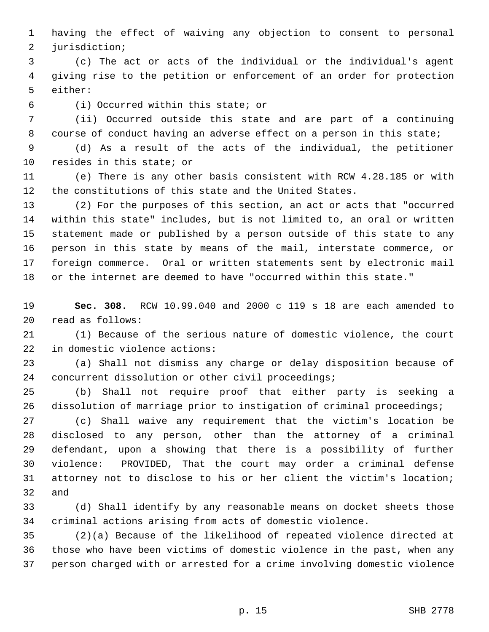1 having the effect of waiving any objection to consent to personal 2 jurisdiction;

 3 (c) The act or acts of the individual or the individual's agent 4 giving rise to the petition or enforcement of an order for protection 5 either:

6 (i) Occurred within this state; or

 7 (ii) Occurred outside this state and are part of a continuing 8 course of conduct having an adverse effect on a person in this state;

 9 (d) As a result of the acts of the individual, the petitioner 10 resides in this state; or

11 (e) There is any other basis consistent with RCW 4.28.185 or with 12 the constitutions of this state and the United States.

13 (2) For the purposes of this section, an act or acts that "occurred 14 within this state" includes, but is not limited to, an oral or written 15 statement made or published by a person outside of this state to any 16 person in this state by means of the mail, interstate commerce, or 17 foreign commerce. Oral or written statements sent by electronic mail 18 or the internet are deemed to have "occurred within this state."

19 **Sec. 308.** RCW 10.99.040 and 2000 c 119 s 18 are each amended to 20 read as follows:

21 (1) Because of the serious nature of domestic violence, the court 22 in domestic violence actions:

23 (a) Shall not dismiss any charge or delay disposition because of 24 concurrent dissolution or other civil proceedings;

25 (b) Shall not require proof that either party is seeking a 26 dissolution of marriage prior to instigation of criminal proceedings;

27 (c) Shall waive any requirement that the victim's location be 28 disclosed to any person, other than the attorney of a criminal 29 defendant, upon a showing that there is a possibility of further 30 violence: PROVIDED, That the court may order a criminal defense 31 attorney not to disclose to his or her client the victim's location; 32 and

33 (d) Shall identify by any reasonable means on docket sheets those 34 criminal actions arising from acts of domestic violence.

35 (2)(a) Because of the likelihood of repeated violence directed at 36 those who have been victims of domestic violence in the past, when any 37 person charged with or arrested for a crime involving domestic violence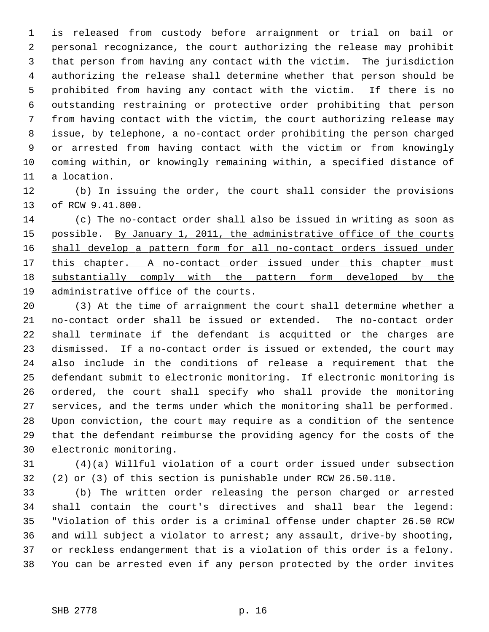1 is released from custody before arraignment or trial on bail or 2 personal recognizance, the court authorizing the release may prohibit 3 that person from having any contact with the victim. The jurisdiction 4 authorizing the release shall determine whether that person should be 5 prohibited from having any contact with the victim. If there is no 6 outstanding restraining or protective order prohibiting that person 7 from having contact with the victim, the court authorizing release may 8 issue, by telephone, a no-contact order prohibiting the person charged 9 or arrested from having contact with the victim or from knowingly 10 coming within, or knowingly remaining within, a specified distance of 11 a location.

12 (b) In issuing the order, the court shall consider the provisions 13 of RCW 9.41.800.

14 (c) The no-contact order shall also be issued in writing as soon as 15 possible. By January 1, 2011, the administrative office of the courts 16 shall develop a pattern form for all no-contact orders issued under 17 this chapter. A no-contact order issued under this chapter must 18 substantially comply with the pattern form developed by the 19 administrative office of the courts.

20 (3) At the time of arraignment the court shall determine whether a 21 no-contact order shall be issued or extended. The no-contact order 22 shall terminate if the defendant is acquitted or the charges are 23 dismissed. If a no-contact order is issued or extended, the court may 24 also include in the conditions of release a requirement that the 25 defendant submit to electronic monitoring. If electronic monitoring is 26 ordered, the court shall specify who shall provide the monitoring 27 services, and the terms under which the monitoring shall be performed. 28 Upon conviction, the court may require as a condition of the sentence 29 that the defendant reimburse the providing agency for the costs of the 30 electronic monitoring.

31 (4)(a) Willful violation of a court order issued under subsection 32 (2) or (3) of this section is punishable under RCW 26.50.110.

33 (b) The written order releasing the person charged or arrested 34 shall contain the court's directives and shall bear the legend: 35 "Violation of this order is a criminal offense under chapter 26.50 RCW 36 and will subject a violator to arrest; any assault, drive-by shooting, 37 or reckless endangerment that is a violation of this order is a felony. 38 You can be arrested even if any person protected by the order invites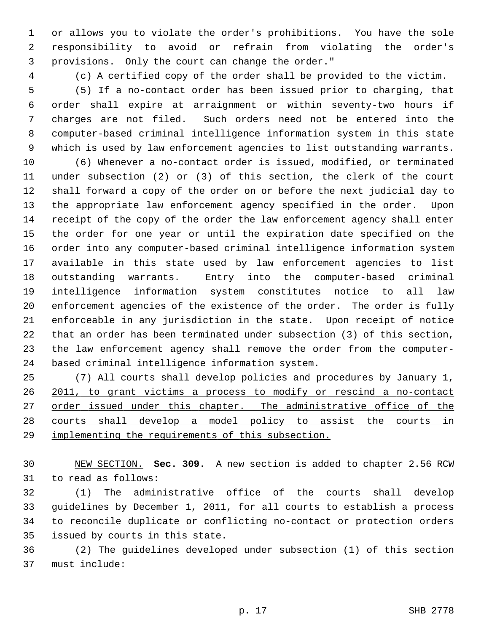1 or allows you to violate the order's prohibitions. You have the sole 2 responsibility to avoid or refrain from violating the order's 3 provisions. Only the court can change the order."

4 (c) A certified copy of the order shall be provided to the victim.

 5 (5) If a no-contact order has been issued prior to charging, that 6 order shall expire at arraignment or within seventy-two hours if 7 charges are not filed. Such orders need not be entered into the 8 computer-based criminal intelligence information system in this state 9 which is used by law enforcement agencies to list outstanding warrants.

10 (6) Whenever a no-contact order is issued, modified, or terminated 11 under subsection (2) or (3) of this section, the clerk of the court 12 shall forward a copy of the order on or before the next judicial day to 13 the appropriate law enforcement agency specified in the order. Upon 14 receipt of the copy of the order the law enforcement agency shall enter 15 the order for one year or until the expiration date specified on the 16 order into any computer-based criminal intelligence information system 17 available in this state used by law enforcement agencies to list 18 outstanding warrants. Entry into the computer-based criminal 19 intelligence information system constitutes notice to all law 20 enforcement agencies of the existence of the order. The order is fully 21 enforceable in any jurisdiction in the state. Upon receipt of notice 22 that an order has been terminated under subsection (3) of this section, 23 the law enforcement agency shall remove the order from the computer-24 based criminal intelligence information system.

25 (7) All courts shall develop policies and procedures by January 1, 26 2011, to grant victims a process to modify or rescind a no-contact 27 order issued under this chapter. The administrative office of the 28 courts shall develop a model policy to assist the courts in 29 implementing the requirements of this subsection.

30 NEW SECTION. **Sec. 309.** A new section is added to chapter 2.56 RCW 31 to read as follows:

32 (1) The administrative office of the courts shall develop 33 guidelines by December 1, 2011, for all courts to establish a process 34 to reconcile duplicate or conflicting no-contact or protection orders 35 issued by courts in this state.

36 (2) The guidelines developed under subsection (1) of this section 37 must include: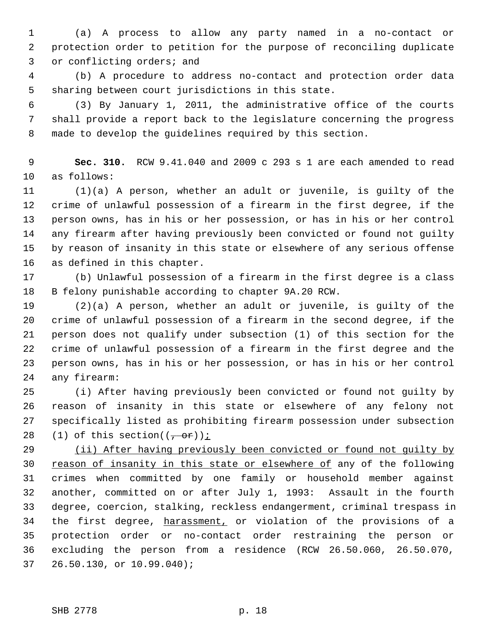1 (a) A process to allow any party named in a no-contact or 2 protection order to petition for the purpose of reconciling duplicate 3 or conflicting orders; and

 4 (b) A procedure to address no-contact and protection order data 5 sharing between court jurisdictions in this state.

 6 (3) By January 1, 2011, the administrative office of the courts 7 shall provide a report back to the legislature concerning the progress 8 made to develop the guidelines required by this section.

 9 **Sec. 310.** RCW 9.41.040 and 2009 c 293 s 1 are each amended to read 10 as follows:

11 (1)(a) A person, whether an adult or juvenile, is guilty of the 12 crime of unlawful possession of a firearm in the first degree, if the 13 person owns, has in his or her possession, or has in his or her control 14 any firearm after having previously been convicted or found not guilty 15 by reason of insanity in this state or elsewhere of any serious offense 16 as defined in this chapter.

17 (b) Unlawful possession of a firearm in the first degree is a class 18 B felony punishable according to chapter 9A.20 RCW.

19 (2)(a) A person, whether an adult or juvenile, is guilty of the 20 crime of unlawful possession of a firearm in the second degree, if the 21 person does not qualify under subsection (1) of this section for the 22 crime of unlawful possession of a firearm in the first degree and the 23 person owns, has in his or her possession, or has in his or her control 24 any firearm:

25 (i) After having previously been convicted or found not guilty by 26 reason of insanity in this state or elsewhere of any felony not 27 specifically listed as prohibiting firearm possession under subsection 28 (1) of this section( $(-or)$ );

29 (ii) After having previously been convicted or found not guilty by 30 reason of insanity in this state or elsewhere of any of the following 31 crimes when committed by one family or household member against 32 another, committed on or after July 1, 1993: Assault in the fourth 33 degree, coercion, stalking, reckless endangerment, criminal trespass in 34 the first degree, harassment, or violation of the provisions of a 35 protection order or no-contact order restraining the person or 36 excluding the person from a residence (RCW 26.50.060, 26.50.070, 37 26.50.130, or 10.99.040);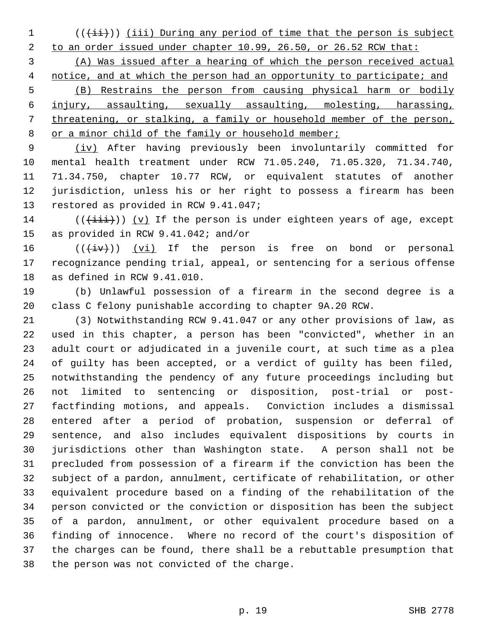$1$  (( $\overline{(\overline{\{i\}})}$ )) (iii) During any period of time that the person is subject

2 to an order issued under chapter 10.99, 26.50, or 26.52 RCW that:

 (A) Was issued after a hearing of which the person received actual notice, and at which the person had an opportunity to participate; and (B) Restrains the person from causing physical harm or bodily injury, assaulting, sexually assaulting, molesting, harassing, threatening, or stalking, a family or household member of the person,

8 or a minor child of the family or household member;

 9 (iv) After having previously been involuntarily committed for 10 mental health treatment under RCW 71.05.240, 71.05.320, 71.34.740, 11 71.34.750, chapter 10.77 RCW, or equivalent statutes of another 12 jurisdiction, unless his or her right to possess a firearm has been 13 restored as provided in RCW 9.41.047;

14 ( $(\overrightarrow{1}i)$ ) (v) If the person is under eighteen years of age, except 15 as provided in RCW 9.41.042; and/or

16  $((\overleftrightarrow{iv}))$  (vi) If the person is free on bond or personal 17 recognizance pending trial, appeal, or sentencing for a serious offense 18 as defined in RCW 9.41.010.

19 (b) Unlawful possession of a firearm in the second degree is a 20 class C felony punishable according to chapter 9A.20 RCW.

21 (3) Notwithstanding RCW 9.41.047 or any other provisions of law, as 22 used in this chapter, a person has been "convicted", whether in an 23 adult court or adjudicated in a juvenile court, at such time as a plea 24 of guilty has been accepted, or a verdict of guilty has been filed, 25 notwithstanding the pendency of any future proceedings including but 26 not limited to sentencing or disposition, post-trial or post-27 factfinding motions, and appeals. Conviction includes a dismissal 28 entered after a period of probation, suspension or deferral of 29 sentence, and also includes equivalent dispositions by courts in 30 jurisdictions other than Washington state. A person shall not be 31 precluded from possession of a firearm if the conviction has been the 32 subject of a pardon, annulment, certificate of rehabilitation, or other 33 equivalent procedure based on a finding of the rehabilitation of the 34 person convicted or the conviction or disposition has been the subject 35 of a pardon, annulment, or other equivalent procedure based on a 36 finding of innocence. Where no record of the court's disposition of 37 the charges can be found, there shall be a rebuttable presumption that 38 the person was not convicted of the charge.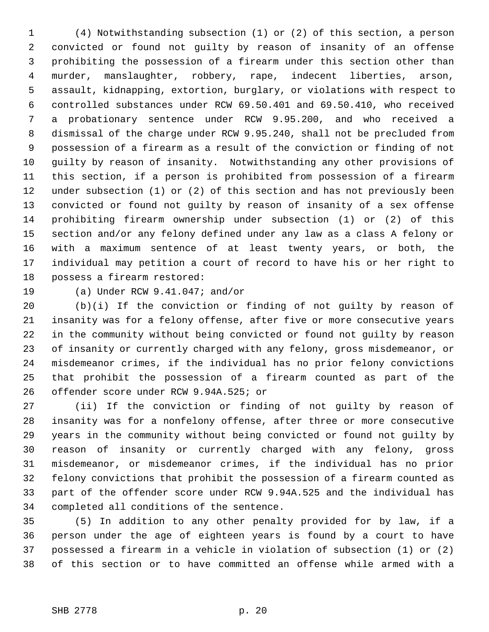1 (4) Notwithstanding subsection (1) or (2) of this section, a person 2 convicted or found not guilty by reason of insanity of an offense 3 prohibiting the possession of a firearm under this section other than 4 murder, manslaughter, robbery, rape, indecent liberties, arson, 5 assault, kidnapping, extortion, burglary, or violations with respect to 6 controlled substances under RCW 69.50.401 and 69.50.410, who received 7 a probationary sentence under RCW 9.95.200, and who received a 8 dismissal of the charge under RCW 9.95.240, shall not be precluded from 9 possession of a firearm as a result of the conviction or finding of not 10 guilty by reason of insanity. Notwithstanding any other provisions of 11 this section, if a person is prohibited from possession of a firearm 12 under subsection (1) or (2) of this section and has not previously been 13 convicted or found not guilty by reason of insanity of a sex offense 14 prohibiting firearm ownership under subsection (1) or (2) of this 15 section and/or any felony defined under any law as a class A felony or 16 with a maximum sentence of at least twenty years, or both, the 17 individual may petition a court of record to have his or her right to 18 possess a firearm restored:

19 (a) Under RCW 9.41.047; and/or

20 (b)(i) If the conviction or finding of not guilty by reason of 21 insanity was for a felony offense, after five or more consecutive years 22 in the community without being convicted or found not guilty by reason 23 of insanity or currently charged with any felony, gross misdemeanor, or 24 misdemeanor crimes, if the individual has no prior felony convictions 25 that prohibit the possession of a firearm counted as part of the 26 offender score under RCW 9.94A.525; or

27 (ii) If the conviction or finding of not guilty by reason of 28 insanity was for a nonfelony offense, after three or more consecutive 29 years in the community without being convicted or found not guilty by 30 reason of insanity or currently charged with any felony, gross 31 misdemeanor, or misdemeanor crimes, if the individual has no prior 32 felony convictions that prohibit the possession of a firearm counted as 33 part of the offender score under RCW 9.94A.525 and the individual has 34 completed all conditions of the sentence.

35 (5) In addition to any other penalty provided for by law, if a 36 person under the age of eighteen years is found by a court to have 37 possessed a firearm in a vehicle in violation of subsection (1) or (2) 38 of this section or to have committed an offense while armed with a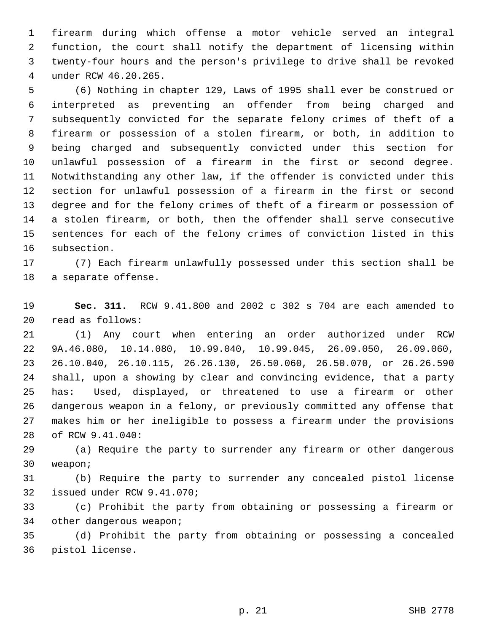1 firearm during which offense a motor vehicle served an integral 2 function, the court shall notify the department of licensing within 3 twenty-four hours and the person's privilege to drive shall be revoked 4 under RCW 46.20.265.

 5 (6) Nothing in chapter 129, Laws of 1995 shall ever be construed or 6 interpreted as preventing an offender from being charged and 7 subsequently convicted for the separate felony crimes of theft of a 8 firearm or possession of a stolen firearm, or both, in addition to 9 being charged and subsequently convicted under this section for 10 unlawful possession of a firearm in the first or second degree. 11 Notwithstanding any other law, if the offender is convicted under this 12 section for unlawful possession of a firearm in the first or second 13 degree and for the felony crimes of theft of a firearm or possession of 14 a stolen firearm, or both, then the offender shall serve consecutive 15 sentences for each of the felony crimes of conviction listed in this 16 subsection.

17 (7) Each firearm unlawfully possessed under this section shall be 18 a separate offense.

19 **Sec. 311.** RCW 9.41.800 and 2002 c 302 s 704 are each amended to 20 read as follows:

21 (1) Any court when entering an order authorized under RCW 22 9A.46.080, 10.14.080, 10.99.040, 10.99.045, 26.09.050, 26.09.060, 23 26.10.040, 26.10.115, 26.26.130, 26.50.060, 26.50.070, or 26.26.590 24 shall, upon a showing by clear and convincing evidence, that a party 25 has: Used, displayed, or threatened to use a firearm or other 26 dangerous weapon in a felony, or previously committed any offense that 27 makes him or her ineligible to possess a firearm under the provisions 28 of RCW 9.41.040:

29 (a) Require the party to surrender any firearm or other dangerous 30 weapon;

31 (b) Require the party to surrender any concealed pistol license 32 issued under RCW 9.41.070;

33 (c) Prohibit the party from obtaining or possessing a firearm or 34 other dangerous weapon;

35 (d) Prohibit the party from obtaining or possessing a concealed 36 pistol license.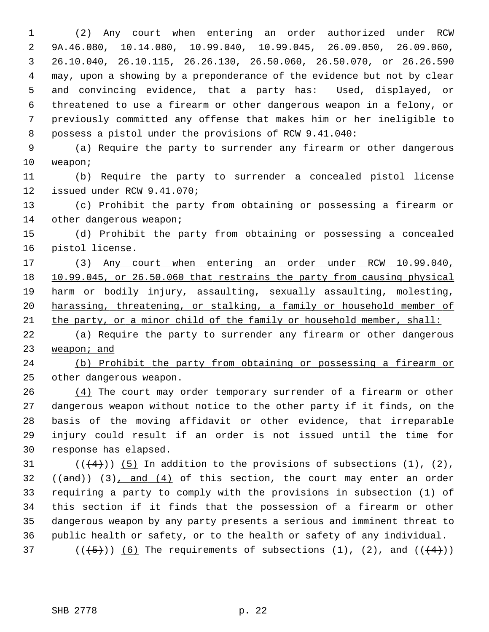1 (2) Any court when entering an order authorized under RCW 2 9A.46.080, 10.14.080, 10.99.040, 10.99.045, 26.09.050, 26.09.060, 3 26.10.040, 26.10.115, 26.26.130, 26.50.060, 26.50.070, or 26.26.590 4 may, upon a showing by a preponderance of the evidence but not by clear 5 and convincing evidence, that a party has: Used, displayed, or 6 threatened to use a firearm or other dangerous weapon in a felony, or 7 previously committed any offense that makes him or her ineligible to 8 possess a pistol under the provisions of RCW 9.41.040:

 9 (a) Require the party to surrender any firearm or other dangerous 10 weapon;

11 (b) Require the party to surrender a concealed pistol license 12 issued under RCW 9.41.070;

13 (c) Prohibit the party from obtaining or possessing a firearm or 14 other dangerous weapon;

15 (d) Prohibit the party from obtaining or possessing a concealed 16 pistol license.

17 (3) Any court when entering an order under RCW 10.99.040, 10.99.045, or 26.50.060 that restrains the party from causing physical harm or bodily injury, assaulting, sexually assaulting, molesting, harassing, threatening, or stalking, a family or household member of the party, or a minor child of the family or household member, shall:

22 (a) Require the party to surrender any firearm or other dangerous 23 weapon; and

24 (b) Prohibit the party from obtaining or possessing a firearm or 25 other dangerous weapon.

26 (4) The court may order temporary surrender of a firearm or other 27 dangerous weapon without notice to the other party if it finds, on the 28 basis of the moving affidavit or other evidence, that irreparable 29 injury could result if an order is not issued until the time for 30 response has elapsed.

31  $((+4))$  (5) In addition to the provisions of subsections (1), (2),  $32$  ((and)) (3), and (4) of this section, the court may enter an order 33 requiring a party to comply with the provisions in subsection (1) of 34 this section if it finds that the possession of a firearm or other 35 dangerous weapon by any party presents a serious and imminent threat to 36 public health or safety, or to the health or safety of any individual. 37 ( $(\frac{+5}{})$ ) (6) The requirements of subsections (1), (2), and ( $(\frac{+4}{})$ )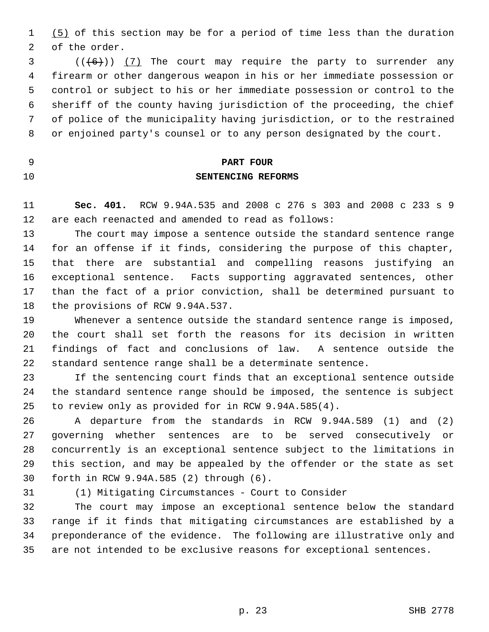1 (5) of this section may be for a period of time less than the duration 2 of the order.

 $3$  (( $(6)$ )) (7) The court may require the party to surrender any 4 firearm or other dangerous weapon in his or her immediate possession or 5 control or subject to his or her immediate possession or control to the 6 sheriff of the county having jurisdiction of the proceeding, the chief 7 of police of the municipality having jurisdiction, or to the restrained 8 or enjoined party's counsel or to any person designated by the court.

- 
- 

## 9 **PART FOUR** 10 **SENTENCING REFORMS**

11 **Sec. 401.** RCW 9.94A.535 and 2008 c 276 s 303 and 2008 c 233 s 9 12 are each reenacted and amended to read as follows:

13 The court may impose a sentence outside the standard sentence range 14 for an offense if it finds, considering the purpose of this chapter, 15 that there are substantial and compelling reasons justifying an 16 exceptional sentence. Facts supporting aggravated sentences, other 17 than the fact of a prior conviction, shall be determined pursuant to 18 the provisions of RCW 9.94A.537.

19 Whenever a sentence outside the standard sentence range is imposed, 20 the court shall set forth the reasons for its decision in written 21 findings of fact and conclusions of law. A sentence outside the 22 standard sentence range shall be a determinate sentence.

23 If the sentencing court finds that an exceptional sentence outside 24 the standard sentence range should be imposed, the sentence is subject 25 to review only as provided for in RCW 9.94A.585(4).

26 A departure from the standards in RCW 9.94A.589 (1) and (2) 27 governing whether sentences are to be served consecutively or 28 concurrently is an exceptional sentence subject to the limitations in 29 this section, and may be appealed by the offender or the state as set 30 forth in RCW 9.94A.585 (2) through (6).

31 (1) Mitigating Circumstances - Court to Consider

32 The court may impose an exceptional sentence below the standard 33 range if it finds that mitigating circumstances are established by a 34 preponderance of the evidence. The following are illustrative only and 35 are not intended to be exclusive reasons for exceptional sentences.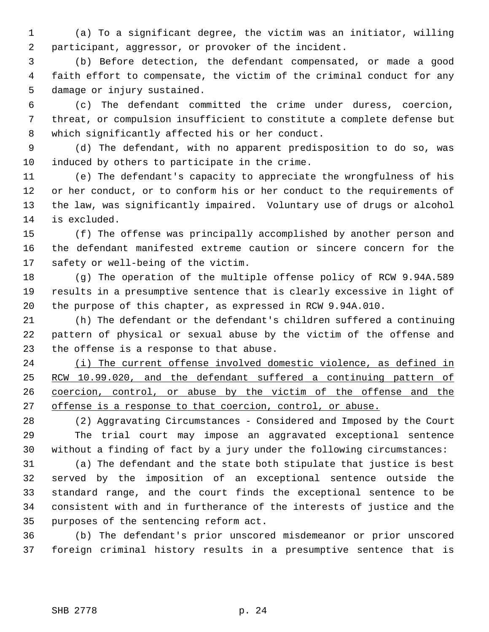1 (a) To a significant degree, the victim was an initiator, willing 2 participant, aggressor, or provoker of the incident.

 3 (b) Before detection, the defendant compensated, or made a good 4 faith effort to compensate, the victim of the criminal conduct for any 5 damage or injury sustained.

 6 (c) The defendant committed the crime under duress, coercion, 7 threat, or compulsion insufficient to constitute a complete defense but 8 which significantly affected his or her conduct.

 9 (d) The defendant, with no apparent predisposition to do so, was 10 induced by others to participate in the crime.

11 (e) The defendant's capacity to appreciate the wrongfulness of his 12 or her conduct, or to conform his or her conduct to the requirements of 13 the law, was significantly impaired. Voluntary use of drugs or alcohol 14 is excluded.

15 (f) The offense was principally accomplished by another person and 16 the defendant manifested extreme caution or sincere concern for the 17 safety or well-being of the victim.

18 (g) The operation of the multiple offense policy of RCW 9.94A.589 19 results in a presumptive sentence that is clearly excessive in light of 20 the purpose of this chapter, as expressed in RCW 9.94A.010.

21 (h) The defendant or the defendant's children suffered a continuing 22 pattern of physical or sexual abuse by the victim of the offense and 23 the offense is a response to that abuse.

 (i) The current offense involved domestic violence, as defined in RCW 10.99.020, and the defendant suffered a continuing pattern of coercion, control, or abuse by the victim of the offense and the offense is a response to that coercion, control, or abuse.

28 (2) Aggravating Circumstances - Considered and Imposed by the Court 29 The trial court may impose an aggravated exceptional sentence 30 without a finding of fact by a jury under the following circumstances:

31 (a) The defendant and the state both stipulate that justice is best 32 served by the imposition of an exceptional sentence outside the 33 standard range, and the court finds the exceptional sentence to be 34 consistent with and in furtherance of the interests of justice and the 35 purposes of the sentencing reform act.

36 (b) The defendant's prior unscored misdemeanor or prior unscored 37 foreign criminal history results in a presumptive sentence that is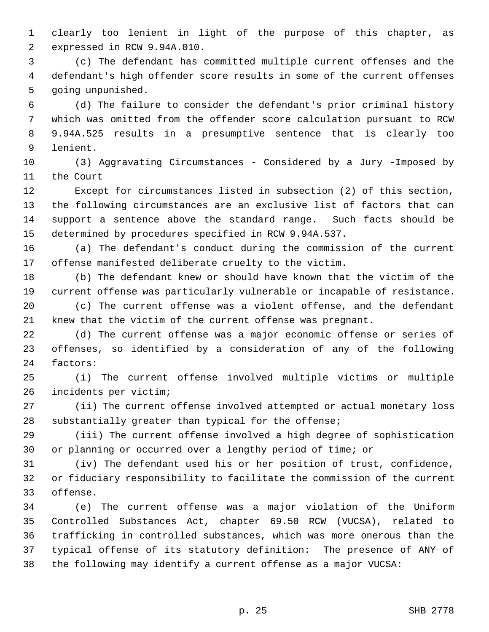1 clearly too lenient in light of the purpose of this chapter, as 2 expressed in RCW 9.94A.010.

 3 (c) The defendant has committed multiple current offenses and the 4 defendant's high offender score results in some of the current offenses 5 going unpunished.

 6 (d) The failure to consider the defendant's prior criminal history 7 which was omitted from the offender score calculation pursuant to RCW 8 9.94A.525 results in a presumptive sentence that is clearly too 9 lenient.

10 (3) Aggravating Circumstances - Considered by a Jury -Imposed by 11 the Court

12 Except for circumstances listed in subsection (2) of this section, 13 the following circumstances are an exclusive list of factors that can 14 support a sentence above the standard range. Such facts should be 15 determined by procedures specified in RCW 9.94A.537.

16 (a) The defendant's conduct during the commission of the current 17 offense manifested deliberate cruelty to the victim.

18 (b) The defendant knew or should have known that the victim of the 19 current offense was particularly vulnerable or incapable of resistance. 20 (c) The current offense was a violent offense, and the defendant 21 knew that the victim of the current offense was pregnant.

22 (d) The current offense was a major economic offense or series of 23 offenses, so identified by a consideration of any of the following 24 factors:

25 (i) The current offense involved multiple victims or multiple 26 incidents per victim;

27 (ii) The current offense involved attempted or actual monetary loss 28 substantially greater than typical for the offense;

29 (iii) The current offense involved a high degree of sophistication 30 or planning or occurred over a lengthy period of time; or

31 (iv) The defendant used his or her position of trust, confidence, 32 or fiduciary responsibility to facilitate the commission of the current 33 offense.

34 (e) The current offense was a major violation of the Uniform 35 Controlled Substances Act, chapter 69.50 RCW (VUCSA), related to 36 trafficking in controlled substances, which was more onerous than the 37 typical offense of its statutory definition: The presence of ANY of 38 the following may identify a current offense as a major VUCSA: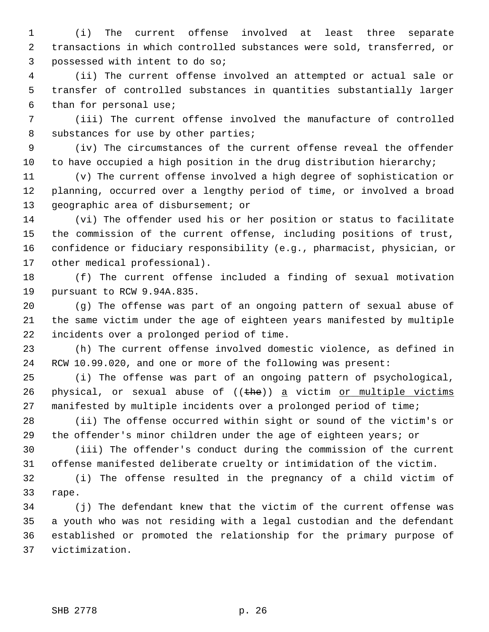1 (i) The current offense involved at least three separate 2 transactions in which controlled substances were sold, transferred, or 3 possessed with intent to do so;

 4 (ii) The current offense involved an attempted or actual sale or 5 transfer of controlled substances in quantities substantially larger 6 than for personal use;

 7 (iii) The current offense involved the manufacture of controlled 8 substances for use by other parties;

 9 (iv) The circumstances of the current offense reveal the offender 10 to have occupied a high position in the drug distribution hierarchy;

11 (v) The current offense involved a high degree of sophistication or 12 planning, occurred over a lengthy period of time, or involved a broad 13 geographic area of disbursement; or

14 (vi) The offender used his or her position or status to facilitate 15 the commission of the current offense, including positions of trust, 16 confidence or fiduciary responsibility (e.g., pharmacist, physician, or 17 other medical professional).

18 (f) The current offense included a finding of sexual motivation 19 pursuant to RCW 9.94A.835.

20 (g) The offense was part of an ongoing pattern of sexual abuse of 21 the same victim under the age of eighteen years manifested by multiple 22 incidents over a prolonged period of time.

23 (h) The current offense involved domestic violence, as defined in 24 RCW 10.99.020, and one or more of the following was present:

25 (i) The offense was part of an ongoing pattern of psychological, 26 physical, or sexual abuse of  $((the)$  a victim or multiple victims 27 manifested by multiple incidents over a prolonged period of time;

28 (ii) The offense occurred within sight or sound of the victim's or 29 the offender's minor children under the age of eighteen years; or

30 (iii) The offender's conduct during the commission of the current 31 offense manifested deliberate cruelty or intimidation of the victim.

32 (i) The offense resulted in the pregnancy of a child victim of 33 rape.

34 (j) The defendant knew that the victim of the current offense was 35 a youth who was not residing with a legal custodian and the defendant 36 established or promoted the relationship for the primary purpose of 37 victimization.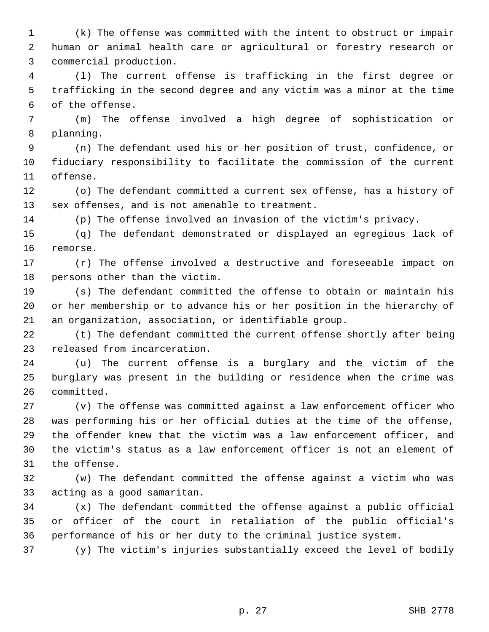1 (k) The offense was committed with the intent to obstruct or impair 2 human or animal health care or agricultural or forestry research or 3 commercial production.

 4 (l) The current offense is trafficking in the first degree or 5 trafficking in the second degree and any victim was a minor at the time 6 of the offense.

 7 (m) The offense involved a high degree of sophistication or 8 planning.

 9 (n) The defendant used his or her position of trust, confidence, or 10 fiduciary responsibility to facilitate the commission of the current 11 offense.

12 (o) The defendant committed a current sex offense, has a history of 13 sex offenses, and is not amenable to treatment.

14 (p) The offense involved an invasion of the victim's privacy.

15 (q) The defendant demonstrated or displayed an egregious lack of 16 remorse.

17 (r) The offense involved a destructive and foreseeable impact on 18 persons other than the victim.

19 (s) The defendant committed the offense to obtain or maintain his 20 or her membership or to advance his or her position in the hierarchy of 21 an organization, association, or identifiable group.

22 (t) The defendant committed the current offense shortly after being 23 released from incarceration.

24 (u) The current offense is a burglary and the victim of the 25 burglary was present in the building or residence when the crime was 26 committed.

27 (v) The offense was committed against a law enforcement officer who 28 was performing his or her official duties at the time of the offense, 29 the offender knew that the victim was a law enforcement officer, and 30 the victim's status as a law enforcement officer is not an element of 31 the offense.

32 (w) The defendant committed the offense against a victim who was 33 acting as a good samaritan.

34 (x) The defendant committed the offense against a public official 35 or officer of the court in retaliation of the public official's 36 performance of his or her duty to the criminal justice system.

37 (y) The victim's injuries substantially exceed the level of bodily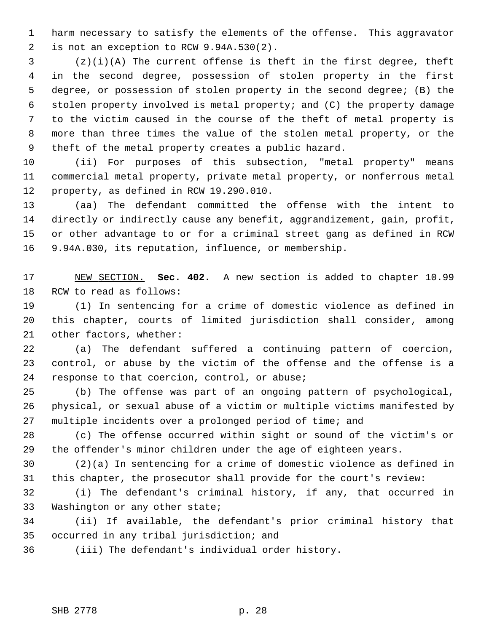1 harm necessary to satisfy the elements of the offense. This aggravator 2 is not an exception to RCW 9.94A.530(2).

 3 (z)(i)(A) The current offense is theft in the first degree, theft 4 in the second degree, possession of stolen property in the first 5 degree, or possession of stolen property in the second degree; (B) the 6 stolen property involved is metal property; and (C) the property damage 7 to the victim caused in the course of the theft of metal property is 8 more than three times the value of the stolen metal property, or the 9 theft of the metal property creates a public hazard.

10 (ii) For purposes of this subsection, "metal property" means 11 commercial metal property, private metal property, or nonferrous metal 12 property, as defined in RCW 19.290.010.

13 (aa) The defendant committed the offense with the intent to 14 directly or indirectly cause any benefit, aggrandizement, gain, profit, 15 or other advantage to or for a criminal street gang as defined in RCW 16 9.94A.030, its reputation, influence, or membership.

17 NEW SECTION. **Sec. 402.** A new section is added to chapter 10.99 18 RCW to read as follows:

19 (1) In sentencing for a crime of domestic violence as defined in 20 this chapter, courts of limited jurisdiction shall consider, among 21 other factors, whether:

22 (a) The defendant suffered a continuing pattern of coercion, 23 control, or abuse by the victim of the offense and the offense is a 24 response to that coercion, control, or abuse;

25 (b) The offense was part of an ongoing pattern of psychological, 26 physical, or sexual abuse of a victim or multiple victims manifested by 27 multiple incidents over a prolonged period of time; and

28 (c) The offense occurred within sight or sound of the victim's or 29 the offender's minor children under the age of eighteen years.

30 (2)(a) In sentencing for a crime of domestic violence as defined in 31 this chapter, the prosecutor shall provide for the court's review:

32 (i) The defendant's criminal history, if any, that occurred in 33 Washington or any other state;

34 (ii) If available, the defendant's prior criminal history that 35 occurred in any tribal jurisdiction; and

36 (iii) The defendant's individual order history.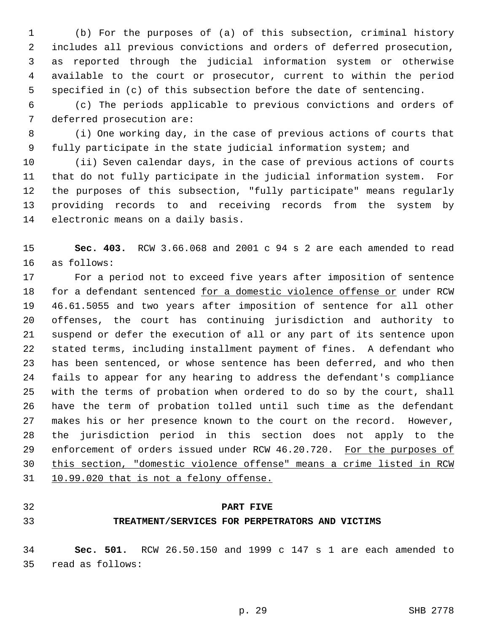1 (b) For the purposes of (a) of this subsection, criminal history 2 includes all previous convictions and orders of deferred prosecution, 3 as reported through the judicial information system or otherwise 4 available to the court or prosecutor, current to within the period 5 specified in (c) of this subsection before the date of sentencing.

 6 (c) The periods applicable to previous convictions and orders of 7 deferred prosecution are:

 8 (i) One working day, in the case of previous actions of courts that 9 fully participate in the state judicial information system; and

10 (ii) Seven calendar days, in the case of previous actions of courts 11 that do not fully participate in the judicial information system. For 12 the purposes of this subsection, "fully participate" means regularly 13 providing records to and receiving records from the system by 14 electronic means on a daily basis.

15 **Sec. 403.** RCW 3.66.068 and 2001 c 94 s 2 are each amended to read 16 as follows:

17 For a period not to exceed five years after imposition of sentence 18 for a defendant sentenced for a domestic violence offense or under RCW 19 46.61.5055 and two years after imposition of sentence for all other 20 offenses, the court has continuing jurisdiction and authority to 21 suspend or defer the execution of all or any part of its sentence upon 22 stated terms, including installment payment of fines. A defendant who 23 has been sentenced, or whose sentence has been deferred, and who then 24 fails to appear for any hearing to address the defendant's compliance 25 with the terms of probation when ordered to do so by the court, shall 26 have the term of probation tolled until such time as the defendant 27 makes his or her presence known to the court on the record. However, 28 the jurisdiction period in this section does not apply to the 29 enforcement of orders issued under RCW 46.20.720. For the purposes of 30 this section, "domestic violence offense" means a crime listed in RCW 31 10.99.020 that is not a felony offense.

- 
- 

#### 32 **PART FIVE**

## 33 **TREATMENT/SERVICES FOR PERPETRATORS AND VICTIMS**

34 **Sec. 501.** RCW 26.50.150 and 1999 c 147 s 1 are each amended to 35 read as follows: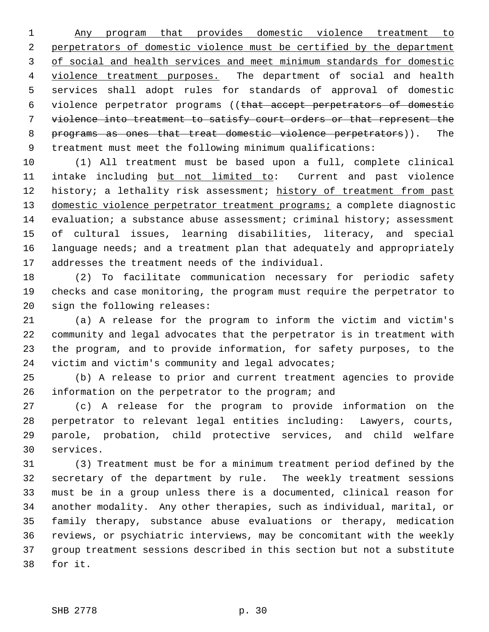Any program that provides domestic violence treatment to perpetrators of domestic violence must be certified by the department of social and health services and meet minimum standards for domestic violence treatment purposes. The department of social and health 5 services shall adopt rules for standards of approval of domestic 6 violence perpetrator programs ((that accept perpetrators of domestic violence into treatment to satisfy court orders or that represent the programs as ones that treat domestic violence perpetrators)). The 9 treatment must meet the following minimum qualifications:

10 (1) All treatment must be based upon a full, complete clinical 11 intake including but not limited to: Current and past violence 12 history; a lethality risk assessment; history of treatment from past 13 domestic violence perpetrator treatment programs; a complete diagnostic 14 evaluation; a substance abuse assessment; criminal history; assessment 15 of cultural issues, learning disabilities, literacy, and special 16 language needs; and a treatment plan that adequately and appropriately 17 addresses the treatment needs of the individual.

18 (2) To facilitate communication necessary for periodic safety 19 checks and case monitoring, the program must require the perpetrator to 20 sign the following releases:

21 (a) A release for the program to inform the victim and victim's 22 community and legal advocates that the perpetrator is in treatment with 23 the program, and to provide information, for safety purposes, to the 24 victim and victim's community and legal advocates;

25 (b) A release to prior and current treatment agencies to provide 26 information on the perpetrator to the program; and

27 (c) A release for the program to provide information on the 28 perpetrator to relevant legal entities including: Lawyers, courts, 29 parole, probation, child protective services, and child welfare 30 services.

31 (3) Treatment must be for a minimum treatment period defined by the 32 secretary of the department by rule. The weekly treatment sessions 33 must be in a group unless there is a documented, clinical reason for 34 another modality. Any other therapies, such as individual, marital, or 35 family therapy, substance abuse evaluations or therapy, medication 36 reviews, or psychiatric interviews, may be concomitant with the weekly 37 group treatment sessions described in this section but not a substitute 38 for it.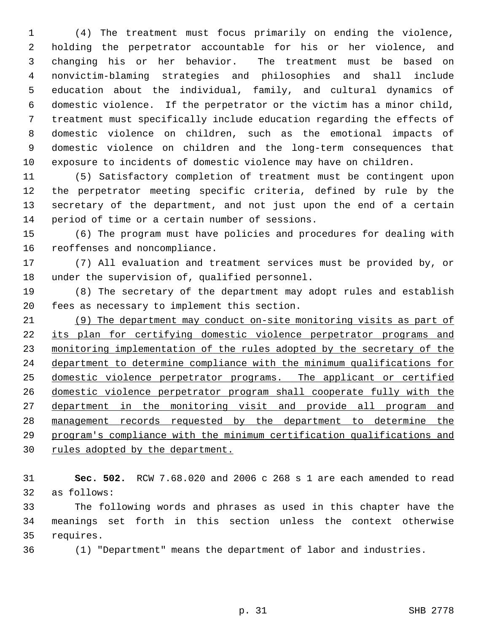1 (4) The treatment must focus primarily on ending the violence, 2 holding the perpetrator accountable for his or her violence, and 3 changing his or her behavior. The treatment must be based on 4 nonvictim-blaming strategies and philosophies and shall include 5 education about the individual, family, and cultural dynamics of 6 domestic violence. If the perpetrator or the victim has a minor child, 7 treatment must specifically include education regarding the effects of 8 domestic violence on children, such as the emotional impacts of 9 domestic violence on children and the long-term consequences that 10 exposure to incidents of domestic violence may have on children.

11 (5) Satisfactory completion of treatment must be contingent upon 12 the perpetrator meeting specific criteria, defined by rule by the 13 secretary of the department, and not just upon the end of a certain 14 period of time or a certain number of sessions.

15 (6) The program must have policies and procedures for dealing with 16 reoffenses and noncompliance.

17 (7) All evaluation and treatment services must be provided by, or 18 under the supervision of, qualified personnel.

19 (8) The secretary of the department may adopt rules and establish 20 fees as necessary to implement this section.

 (9) The department may conduct on-site monitoring visits as part of its plan for certifying domestic violence perpetrator programs and monitoring implementation of the rules adopted by the secretary of the department to determine compliance with the minimum qualifications for domestic violence perpetrator programs. The applicant or certified domestic violence perpetrator program shall cooperate fully with the department in the monitoring visit and provide all program and management records requested by the department to determine the program's compliance with the minimum certification qualifications and rules adopted by the department.

31 **Sec. 502.** RCW 7.68.020 and 2006 c 268 s 1 are each amended to read 32 as follows:

33 The following words and phrases as used in this chapter have the 34 meanings set forth in this section unless the context otherwise 35 requires.

36 (1) "Department" means the department of labor and industries.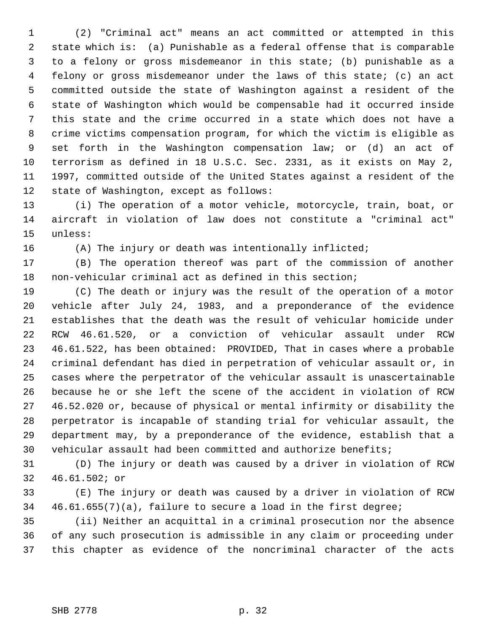1 (2) "Criminal act" means an act committed or attempted in this 2 state which is: (a) Punishable as a federal offense that is comparable 3 to a felony or gross misdemeanor in this state; (b) punishable as a 4 felony or gross misdemeanor under the laws of this state; (c) an act 5 committed outside the state of Washington against a resident of the 6 state of Washington which would be compensable had it occurred inside 7 this state and the crime occurred in a state which does not have a 8 crime victims compensation program, for which the victim is eligible as 9 set forth in the Washington compensation law; or (d) an act of 10 terrorism as defined in 18 U.S.C. Sec. 2331, as it exists on May 2, 11 1997, committed outside of the United States against a resident of the 12 state of Washington, except as follows:

13 (i) The operation of a motor vehicle, motorcycle, train, boat, or 14 aircraft in violation of law does not constitute a "criminal act" 15 unless:

16 (A) The injury or death was intentionally inflicted;

17 (B) The operation thereof was part of the commission of another 18 non-vehicular criminal act as defined in this section;

19 (C) The death or injury was the result of the operation of a motor 20 vehicle after July 24, 1983, and a preponderance of the evidence 21 establishes that the death was the result of vehicular homicide under 22 RCW 46.61.520, or a conviction of vehicular assault under RCW 23 46.61.522, has been obtained: PROVIDED, That in cases where a probable 24 criminal defendant has died in perpetration of vehicular assault or, in 25 cases where the perpetrator of the vehicular assault is unascertainable 26 because he or she left the scene of the accident in violation of RCW 27 46.52.020 or, because of physical or mental infirmity or disability the 28 perpetrator is incapable of standing trial for vehicular assault, the 29 department may, by a preponderance of the evidence, establish that a 30 vehicular assault had been committed and authorize benefits;

31 (D) The injury or death was caused by a driver in violation of RCW 32 46.61.502; or

33 (E) The injury or death was caused by a driver in violation of RCW 34 46.61.655(7)(a), failure to secure a load in the first degree;

35 (ii) Neither an acquittal in a criminal prosecution nor the absence 36 of any such prosecution is admissible in any claim or proceeding under 37 this chapter as evidence of the noncriminal character of the acts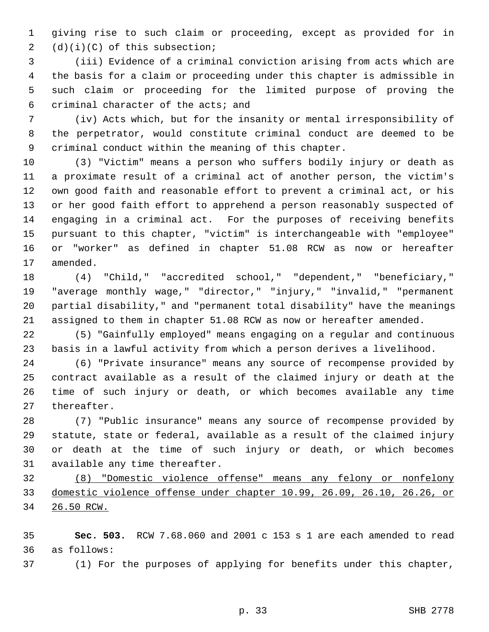1 giving rise to such claim or proceeding, except as provided for in 2 (d)(i)(C) of this subsection;

 3 (iii) Evidence of a criminal conviction arising from acts which are 4 the basis for a claim or proceeding under this chapter is admissible in 5 such claim or proceeding for the limited purpose of proving the 6 criminal character of the acts; and

 7 (iv) Acts which, but for the insanity or mental irresponsibility of 8 the perpetrator, would constitute criminal conduct are deemed to be 9 criminal conduct within the meaning of this chapter.

10 (3) "Victim" means a person who suffers bodily injury or death as 11 a proximate result of a criminal act of another person, the victim's 12 own good faith and reasonable effort to prevent a criminal act, or his 13 or her good faith effort to apprehend a person reasonably suspected of 14 engaging in a criminal act. For the purposes of receiving benefits 15 pursuant to this chapter, "victim" is interchangeable with "employee" 16 or "worker" as defined in chapter 51.08 RCW as now or hereafter 17 amended.

18 (4) "Child," "accredited school," "dependent," "beneficiary," 19 "average monthly wage," "director," "injury," "invalid," "permanent 20 partial disability," and "permanent total disability" have the meanings 21 assigned to them in chapter 51.08 RCW as now or hereafter amended.

22 (5) "Gainfully employed" means engaging on a regular and continuous 23 basis in a lawful activity from which a person derives a livelihood.

24 (6) "Private insurance" means any source of recompense provided by 25 contract available as a result of the claimed injury or death at the 26 time of such injury or death, or which becomes available any time 27 thereafter.

28 (7) "Public insurance" means any source of recompense provided by 29 statute, state or federal, available as a result of the claimed injury 30 or death at the time of such injury or death, or which becomes 31 available any time thereafter.

32 (8) "Domestic violence offense" means any felony or nonfelony 33 domestic violence offense under chapter 10.99, 26.09, 26.10, 26.26, or 34 26.50 RCW.

35 **Sec. 503.** RCW 7.68.060 and 2001 c 153 s 1 are each amended to read 36 as follows:

37 (1) For the purposes of applying for benefits under this chapter,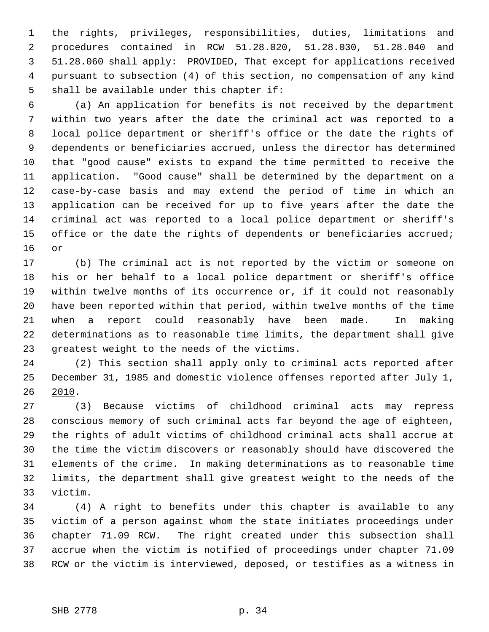1 the rights, privileges, responsibilities, duties, limitations and 2 procedures contained in RCW 51.28.020, 51.28.030, 51.28.040 and 3 51.28.060 shall apply: PROVIDED, That except for applications received 4 pursuant to subsection (4) of this section, no compensation of any kind 5 shall be available under this chapter if:

 6 (a) An application for benefits is not received by the department 7 within two years after the date the criminal act was reported to a 8 local police department or sheriff's office or the date the rights of 9 dependents or beneficiaries accrued, unless the director has determined 10 that "good cause" exists to expand the time permitted to receive the 11 application. "Good cause" shall be determined by the department on a 12 case-by-case basis and may extend the period of time in which an 13 application can be received for up to five years after the date the 14 criminal act was reported to a local police department or sheriff's 15 office or the date the rights of dependents or beneficiaries accrued; 16 or

17 (b) The criminal act is not reported by the victim or someone on 18 his or her behalf to a local police department or sheriff's office 19 within twelve months of its occurrence or, if it could not reasonably 20 have been reported within that period, within twelve months of the time 21 when a report could reasonably have been made. In making 22 determinations as to reasonable time limits, the department shall give 23 greatest weight to the needs of the victims.

24 (2) This section shall apply only to criminal acts reported after 25 December 31, 1985 and domestic violence offenses reported after July 1, 26 2010.

27 (3) Because victims of childhood criminal acts may repress 28 conscious memory of such criminal acts far beyond the age of eighteen, 29 the rights of adult victims of childhood criminal acts shall accrue at 30 the time the victim discovers or reasonably should have discovered the 31 elements of the crime. In making determinations as to reasonable time 32 limits, the department shall give greatest weight to the needs of the 33 victim.

34 (4) A right to benefits under this chapter is available to any 35 victim of a person against whom the state initiates proceedings under 36 chapter 71.09 RCW. The right created under this subsection shall 37 accrue when the victim is notified of proceedings under chapter 71.09 38 RCW or the victim is interviewed, deposed, or testifies as a witness in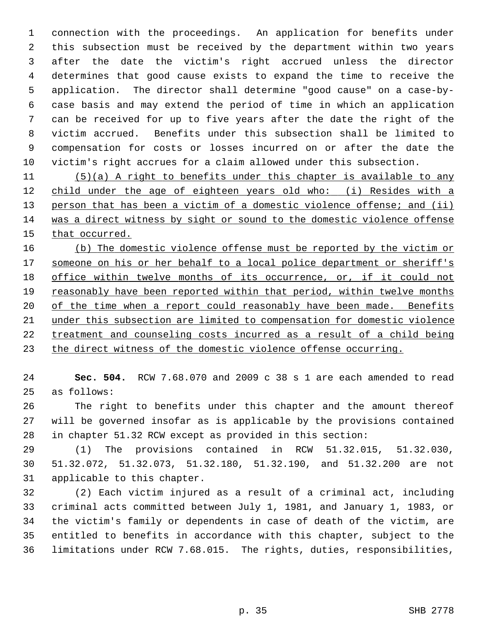1 connection with the proceedings. An application for benefits under 2 this subsection must be received by the department within two years 3 after the date the victim's right accrued unless the director 4 determines that good cause exists to expand the time to receive the 5 application. The director shall determine "good cause" on a case-by- 6 case basis and may extend the period of time in which an application 7 can be received for up to five years after the date the right of the 8 victim accrued. Benefits under this subsection shall be limited to 9 compensation for costs or losses incurred on or after the date the 10 victim's right accrues for a claim allowed under this subsection.

11 (5)(a) A right to benefits under this chapter is available to any 12 child under the age of eighteen years old who: (i) Resides with a 13 person that has been a victim of a domestic violence offense; and (ii) 14 was a direct witness by sight or sound to the domestic violence offense 15 that occurred.

 (b) The domestic violence offense must be reported by the victim or someone on his or her behalf to a local police department or sheriff's office within twelve months of its occurrence, or, if it could not reasonably have been reported within that period, within twelve months of the time when a report could reasonably have been made. Benefits under this subsection are limited to compensation for domestic violence treatment and counseling costs incurred as a result of a child being the direct witness of the domestic violence offense occurring.

24 **Sec. 504.** RCW 7.68.070 and 2009 c 38 s 1 are each amended to read 25 as follows:

26 The right to benefits under this chapter and the amount thereof 27 will be governed insofar as is applicable by the provisions contained 28 in chapter 51.32 RCW except as provided in this section:

29 (1) The provisions contained in RCW 51.32.015, 51.32.030, 30 51.32.072, 51.32.073, 51.32.180, 51.32.190, and 51.32.200 are not 31 applicable to this chapter.

32 (2) Each victim injured as a result of a criminal act, including 33 criminal acts committed between July 1, 1981, and January 1, 1983, or 34 the victim's family or dependents in case of death of the victim, are 35 entitled to benefits in accordance with this chapter, subject to the 36 limitations under RCW 7.68.015. The rights, duties, responsibilities,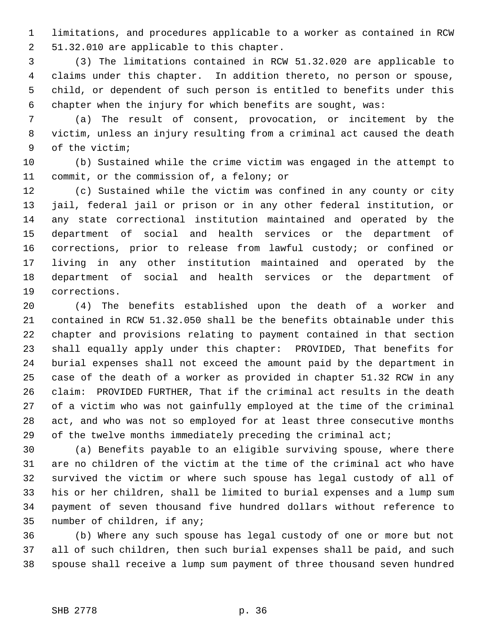1 limitations, and procedures applicable to a worker as contained in RCW 2 51.32.010 are applicable to this chapter.

 3 (3) The limitations contained in RCW 51.32.020 are applicable to 4 claims under this chapter. In addition thereto, no person or spouse, 5 child, or dependent of such person is entitled to benefits under this 6 chapter when the injury for which benefits are sought, was:

 7 (a) The result of consent, provocation, or incitement by the 8 victim, unless an injury resulting from a criminal act caused the death 9 of the victim;

10 (b) Sustained while the crime victim was engaged in the attempt to 11 commit, or the commission of, a felony; or

12 (c) Sustained while the victim was confined in any county or city 13 jail, federal jail or prison or in any other federal institution, or 14 any state correctional institution maintained and operated by the 15 department of social and health services or the department of 16 corrections, prior to release from lawful custody; or confined or 17 living in any other institution maintained and operated by the 18 department of social and health services or the department of 19 corrections.

20 (4) The benefits established upon the death of a worker and 21 contained in RCW 51.32.050 shall be the benefits obtainable under this 22 chapter and provisions relating to payment contained in that section 23 shall equally apply under this chapter: PROVIDED, That benefits for 24 burial expenses shall not exceed the amount paid by the department in 25 case of the death of a worker as provided in chapter 51.32 RCW in any 26 claim: PROVIDED FURTHER, That if the criminal act results in the death 27 of a victim who was not gainfully employed at the time of the criminal 28 act, and who was not so employed for at least three consecutive months 29 of the twelve months immediately preceding the criminal act;

30 (a) Benefits payable to an eligible surviving spouse, where there 31 are no children of the victim at the time of the criminal act who have 32 survived the victim or where such spouse has legal custody of all of 33 his or her children, shall be limited to burial expenses and a lump sum 34 payment of seven thousand five hundred dollars without reference to 35 number of children, if any;

36 (b) Where any such spouse has legal custody of one or more but not 37 all of such children, then such burial expenses shall be paid, and such 38 spouse shall receive a lump sum payment of three thousand seven hundred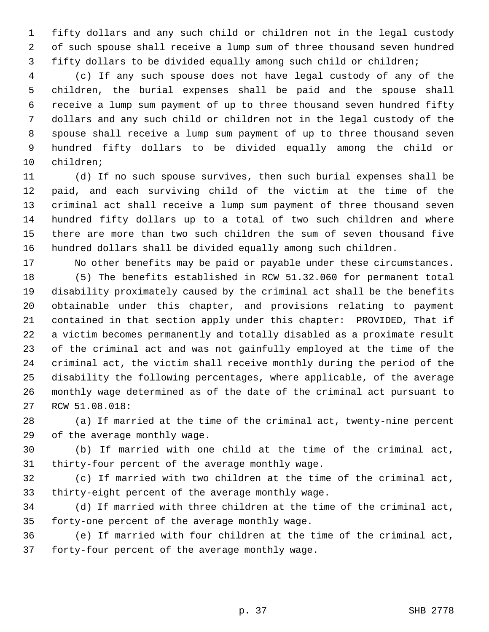1 fifty dollars and any such child or children not in the legal custody 2 of such spouse shall receive a lump sum of three thousand seven hundred 3 fifty dollars to be divided equally among such child or children;

 4 (c) If any such spouse does not have legal custody of any of the 5 children, the burial expenses shall be paid and the spouse shall 6 receive a lump sum payment of up to three thousand seven hundred fifty 7 dollars and any such child or children not in the legal custody of the 8 spouse shall receive a lump sum payment of up to three thousand seven 9 hundred fifty dollars to be divided equally among the child or 10 children;

11 (d) If no such spouse survives, then such burial expenses shall be 12 paid, and each surviving child of the victim at the time of the 13 criminal act shall receive a lump sum payment of three thousand seven 14 hundred fifty dollars up to a total of two such children and where 15 there are more than two such children the sum of seven thousand five 16 hundred dollars shall be divided equally among such children.

17 No other benefits may be paid or payable under these circumstances. 18 (5) The benefits established in RCW 51.32.060 for permanent total 19 disability proximately caused by the criminal act shall be the benefits 20 obtainable under this chapter, and provisions relating to payment 21 contained in that section apply under this chapter: PROVIDED, That if 22 a victim becomes permanently and totally disabled as a proximate result 23 of the criminal act and was not gainfully employed at the time of the 24 criminal act, the victim shall receive monthly during the period of the 25 disability the following percentages, where applicable, of the average 26 monthly wage determined as of the date of the criminal act pursuant to 27 RCW 51.08.018:

28 (a) If married at the time of the criminal act, twenty-nine percent 29 of the average monthly wage.

30 (b) If married with one child at the time of the criminal act, 31 thirty-four percent of the average monthly wage.

32 (c) If married with two children at the time of the criminal act, 33 thirty-eight percent of the average monthly wage.

34 (d) If married with three children at the time of the criminal act, 35 forty-one percent of the average monthly wage.

36 (e) If married with four children at the time of the criminal act, 37 forty-four percent of the average monthly wage.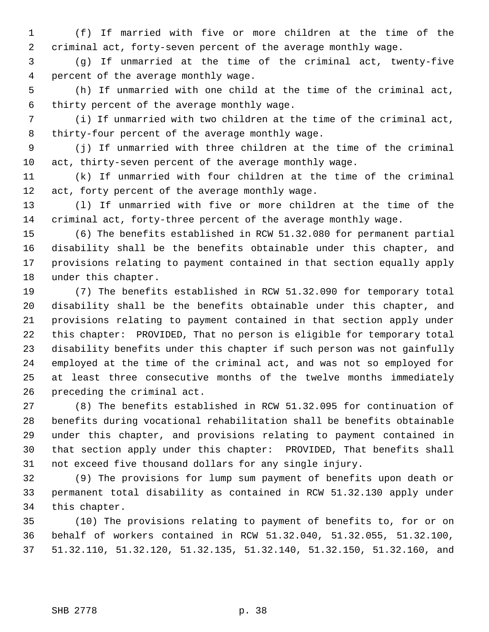1 (f) If married with five or more children at the time of the 2 criminal act, forty-seven percent of the average monthly wage.

 3 (g) If unmarried at the time of the criminal act, twenty-five 4 percent of the average monthly wage.

 5 (h) If unmarried with one child at the time of the criminal act, 6 thirty percent of the average monthly wage.

 7 (i) If unmarried with two children at the time of the criminal act, 8 thirty-four percent of the average monthly wage.

 9 (j) If unmarried with three children at the time of the criminal 10 act, thirty-seven percent of the average monthly wage.

11 (k) If unmarried with four children at the time of the criminal 12 act, forty percent of the average monthly wage.

13 (l) If unmarried with five or more children at the time of the 14 criminal act, forty-three percent of the average monthly wage.

15 (6) The benefits established in RCW 51.32.080 for permanent partial 16 disability shall be the benefits obtainable under this chapter, and 17 provisions relating to payment contained in that section equally apply 18 under this chapter.

19 (7) The benefits established in RCW 51.32.090 for temporary total 20 disability shall be the benefits obtainable under this chapter, and 21 provisions relating to payment contained in that section apply under 22 this chapter: PROVIDED, That no person is eligible for temporary total 23 disability benefits under this chapter if such person was not gainfully 24 employed at the time of the criminal act, and was not so employed for 25 at least three consecutive months of the twelve months immediately 26 preceding the criminal act.

27 (8) The benefits established in RCW 51.32.095 for continuation of 28 benefits during vocational rehabilitation shall be benefits obtainable 29 under this chapter, and provisions relating to payment contained in 30 that section apply under this chapter: PROVIDED, That benefits shall 31 not exceed five thousand dollars for any single injury.

32 (9) The provisions for lump sum payment of benefits upon death or 33 permanent total disability as contained in RCW 51.32.130 apply under 34 this chapter.

35 (10) The provisions relating to payment of benefits to, for or on 36 behalf of workers contained in RCW 51.32.040, 51.32.055, 51.32.100, 37 51.32.110, 51.32.120, 51.32.135, 51.32.140, 51.32.150, 51.32.160, and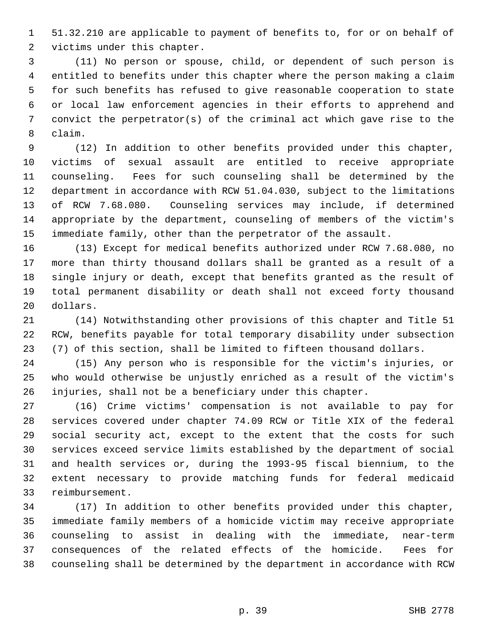1 51.32.210 are applicable to payment of benefits to, for or on behalf of 2 victims under this chapter.

 3 (11) No person or spouse, child, or dependent of such person is 4 entitled to benefits under this chapter where the person making a claim 5 for such benefits has refused to give reasonable cooperation to state 6 or local law enforcement agencies in their efforts to apprehend and 7 convict the perpetrator(s) of the criminal act which gave rise to the 8 claim.

 9 (12) In addition to other benefits provided under this chapter, 10 victims of sexual assault are entitled to receive appropriate 11 counseling. Fees for such counseling shall be determined by the 12 department in accordance with RCW 51.04.030, subject to the limitations 13 of RCW 7.68.080. Counseling services may include, if determined 14 appropriate by the department, counseling of members of the victim's 15 immediate family, other than the perpetrator of the assault.

16 (13) Except for medical benefits authorized under RCW 7.68.080, no 17 more than thirty thousand dollars shall be granted as a result of a 18 single injury or death, except that benefits granted as the result of 19 total permanent disability or death shall not exceed forty thousand 20 dollars.

21 (14) Notwithstanding other provisions of this chapter and Title 51 22 RCW, benefits payable for total temporary disability under subsection 23 (7) of this section, shall be limited to fifteen thousand dollars.

24 (15) Any person who is responsible for the victim's injuries, or 25 who would otherwise be unjustly enriched as a result of the victim's 26 injuries, shall not be a beneficiary under this chapter.

27 (16) Crime victims' compensation is not available to pay for 28 services covered under chapter 74.09 RCW or Title XIX of the federal 29 social security act, except to the extent that the costs for such 30 services exceed service limits established by the department of social 31 and health services or, during the 1993-95 fiscal biennium, to the 32 extent necessary to provide matching funds for federal medicaid 33 reimbursement.

34 (17) In addition to other benefits provided under this chapter, 35 immediate family members of a homicide victim may receive appropriate 36 counseling to assist in dealing with the immediate, near-term 37 consequences of the related effects of the homicide. Fees for 38 counseling shall be determined by the department in accordance with RCW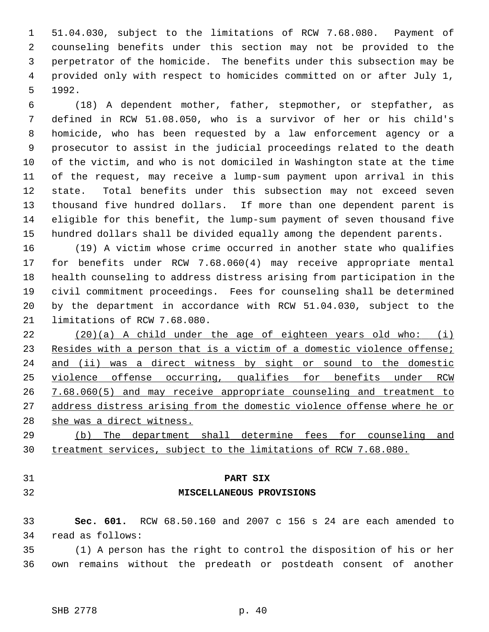1 51.04.030, subject to the limitations of RCW 7.68.080. Payment of 2 counseling benefits under this section may not be provided to the 3 perpetrator of the homicide. The benefits under this subsection may be 4 provided only with respect to homicides committed on or after July 1, 5 1992.

 6 (18) A dependent mother, father, stepmother, or stepfather, as 7 defined in RCW 51.08.050, who is a survivor of her or his child's 8 homicide, who has been requested by a law enforcement agency or a 9 prosecutor to assist in the judicial proceedings related to the death 10 of the victim, and who is not domiciled in Washington state at the time 11 of the request, may receive a lump-sum payment upon arrival in this 12 state. Total benefits under this subsection may not exceed seven 13 thousand five hundred dollars. If more than one dependent parent is 14 eligible for this benefit, the lump-sum payment of seven thousand five 15 hundred dollars shall be divided equally among the dependent parents.

16 (19) A victim whose crime occurred in another state who qualifies 17 for benefits under RCW 7.68.060(4) may receive appropriate mental 18 health counseling to address distress arising from participation in the 19 civil commitment proceedings. Fees for counseling shall be determined 20 by the department in accordance with RCW 51.04.030, subject to the 21 limitations of RCW 7.68.080.

 (20)(a) A child under the age of eighteen years old who: (i) Resides with a person that is a victim of a domestic violence offense; and (ii) was a direct witness by sight or sound to the domestic violence offense occurring, qualifies for benefits under RCW 7.68.060(5) and may receive appropriate counseling and treatment to address distress arising from the domestic violence offense where he or she was a direct witness.

29 (b) The department shall determine fees for counseling and 30 treatment services, subject to the limitations of RCW 7.68.080.

- 
- 

## 31 **PART SIX**

## 32 **MISCELLANEOUS PROVISIONS**

33 **Sec. 601.** RCW 68.50.160 and 2007 c 156 s 24 are each amended to 34 read as follows:

35 (1) A person has the right to control the disposition of his or her 36 own remains without the predeath or postdeath consent of another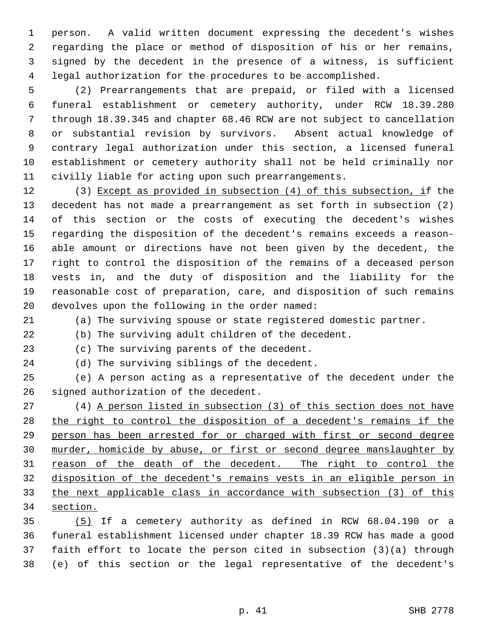1 person. A valid written document expressing the decedent's wishes 2 regarding the place or method of disposition of his or her remains, 3 signed by the decedent in the presence of a witness, is sufficient 4 legal authorization for the procedures to be accomplished.

 5 (2) Prearrangements that are prepaid, or filed with a licensed 6 funeral establishment or cemetery authority, under RCW 18.39.280 7 through 18.39.345 and chapter 68.46 RCW are not subject to cancellation 8 or substantial revision by survivors. Absent actual knowledge of 9 contrary legal authorization under this section, a licensed funeral 10 establishment or cemetery authority shall not be held criminally nor 11 civilly liable for acting upon such prearrangements.

12 (3) Except as provided in subsection (4) of this subsection, if the 13 decedent has not made a prearrangement as set forth in subsection (2) 14 of this section or the costs of executing the decedent's wishes 15 regarding the disposition of the decedent's remains exceeds a reason-16 able amount or directions have not been given by the decedent, the 17 right to control the disposition of the remains of a deceased person 18 vests in, and the duty of disposition and the liability for the 19 reasonable cost of preparation, care, and disposition of such remains 20 devolves upon the following in the order named:

21 (a) The surviving spouse or state registered domestic partner.

22 (b) The surviving adult children of the decedent.

23 (c) The surviving parents of the decedent.

24 (d) The surviving siblings of the decedent.

25 (e) A person acting as a representative of the decedent under the 26 signed authorization of the decedent.

27 (4) A person listed in subsection (3) of this section does not have the right to control the disposition of a decedent's remains if the person has been arrested for or charged with first or second degree murder, homicide by abuse, or first or second degree manslaughter by reason of the death of the decedent. The right to control the disposition of the decedent's remains vests in an eligible person in the next applicable class in accordance with subsection (3) of this 34 section.

35 (5) If a cemetery authority as defined in RCW 68.04.190 or a 36 funeral establishment licensed under chapter 18.39 RCW has made a good 37 faith effort to locate the person cited in subsection (3)(a) through 38 (e) of this section or the legal representative of the decedent's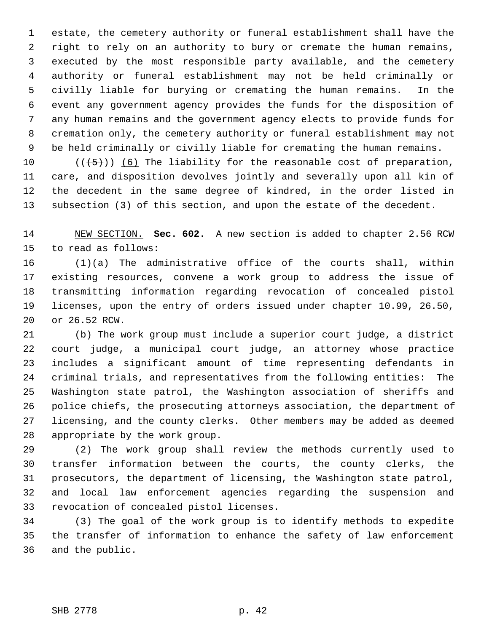1 estate, the cemetery authority or funeral establishment shall have the 2 right to rely on an authority to bury or cremate the human remains, 3 executed by the most responsible party available, and the cemetery 4 authority or funeral establishment may not be held criminally or 5 civilly liable for burying or cremating the human remains. In the 6 event any government agency provides the funds for the disposition of 7 any human remains and the government agency elects to provide funds for 8 cremation only, the cemetery authority or funeral establishment may not 9 be held criminally or civilly liable for cremating the human remains.

10  $((+5))$  (6) The liability for the reasonable cost of preparation, 11 care, and disposition devolves jointly and severally upon all kin of 12 the decedent in the same degree of kindred, in the order listed in 13 subsection (3) of this section, and upon the estate of the decedent.

14 NEW SECTION. **Sec. 602.** A new section is added to chapter 2.56 RCW 15 to read as follows:

16 (1)(a) The administrative office of the courts shall, within 17 existing resources, convene a work group to address the issue of 18 transmitting information regarding revocation of concealed pistol 19 licenses, upon the entry of orders issued under chapter 10.99, 26.50, 20 or 26.52 RCW.

21 (b) The work group must include a superior court judge, a district 22 court judge, a municipal court judge, an attorney whose practice 23 includes a significant amount of time representing defendants in 24 criminal trials, and representatives from the following entities: The 25 Washington state patrol, the Washington association of sheriffs and 26 police chiefs, the prosecuting attorneys association, the department of 27 licensing, and the county clerks. Other members may be added as deemed 28 appropriate by the work group.

29 (2) The work group shall review the methods currently used to 30 transfer information between the courts, the county clerks, the 31 prosecutors, the department of licensing, the Washington state patrol, 32 and local law enforcement agencies regarding the suspension and 33 revocation of concealed pistol licenses.

34 (3) The goal of the work group is to identify methods to expedite 35 the transfer of information to enhance the safety of law enforcement 36 and the public.